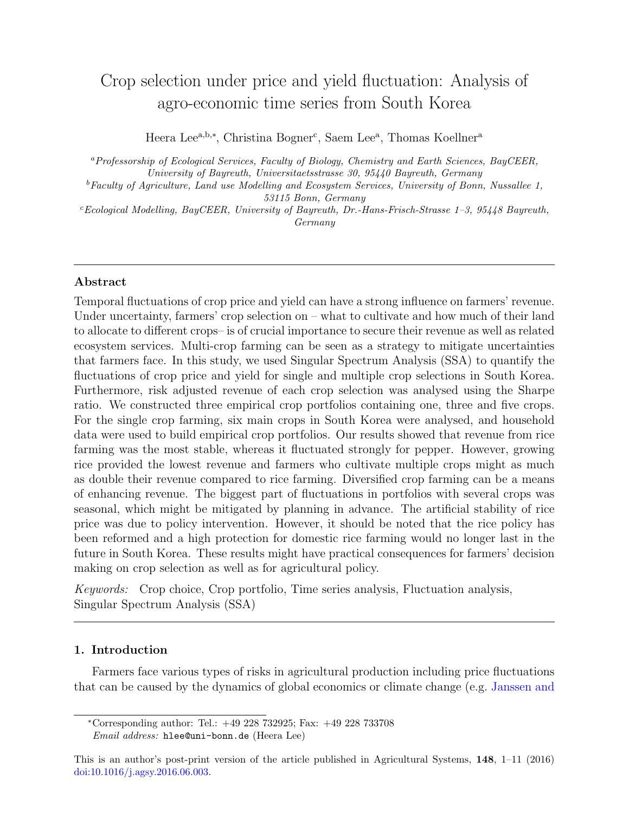# Crop selection under price and yield fluctuation: Analysis of agro-economic time series from South Korea

Heera Lee<sup>a,b,\*</sup>, Christina Bogner<sup>c</sup>, Saem Lee<sup>a</sup>, Thomas Koellner<sup>a</sup>

<sup>a</sup>Professorship of Ecological Services, Faculty of Biology, Chemistry and Earth Sciences, BayCEER, University of Bayreuth, Universitaetsstrasse 30, 95440 Bayreuth, Germany

 ${}^{b}$  Faculty of Agriculture, Land use Modelling and Ecosystem Services, University of Bonn, Nussallee 1, 53115 Bonn, Germany

 $c_{Ecological\ Model}$  Modelling, BayCEER, University of Bayreuth, Dr.-Hans-Frisch-Strasse 1-3, 95448 Bayreuth, Germany

# Abstract

Temporal fluctuations of crop price and yield can have a strong influence on farmers' revenue. Under uncertainty, farmers' crop selection on – what to cultivate and how much of their land to allocate to different crops– is of crucial importance to secure their revenue as well as related ecosystem services. Multi-crop farming can be seen as a strategy to mitigate uncertainties that farmers face. In this study, we used Singular Spectrum Analysis (SSA) to quantify the fluctuations of crop price and yield for single and multiple crop selections in South Korea. Furthermore, risk adjusted revenue of each crop selection was analysed using the Sharpe ratio. We constructed three empirical crop portfolios containing one, three and five crops. For the single crop farming, six main crops in South Korea were analysed, and household data were used to build empirical crop portfolios. Our results showed that revenue from rice farming was the most stable, whereas it fluctuated strongly for pepper. However, growing rice provided the lowest revenue and farmers who cultivate multiple crops might as much as double their revenue compared to rice farming. Diversified crop farming can be a means of enhancing revenue. The biggest part of fluctuations in portfolios with several crops was seasonal, which might be mitigated by planning in advance. The artificial stability of rice price was due to policy intervention. However, it should be noted that the rice policy has been reformed and a high protection for domestic rice farming would no longer last in the future in South Korea. These results might have practical consequences for farmers' decision making on crop selection as well as for agricultural policy.

Keywords: Crop choice, Crop portfolio, Time series analysis, Fluctuation analysis, Singular Spectrum Analysis (SSA)

# 1. Introduction

Farmers face various types of risks in agricultural production including price fluctuations that can be caused by the dynamics of global economics or climate change (e.g. [Janssen and](#page-23-0)

<sup>∗</sup>[Corresponding author: Tel.: +49 228 732925; Fax: +49 228 733708](#page-23-0)

Email address: [hlee@uni-bonn.de](#page-23-0) (Heera Lee)

[This is an author's post-print version of the article published in Agricultural Systems,](#page-23-0) 148, 1–11 (2016) [doi:10.1016/j.agsy.2016.06.003.](http://dx.doi.org/10.1016/j.agsy.2016.06.003)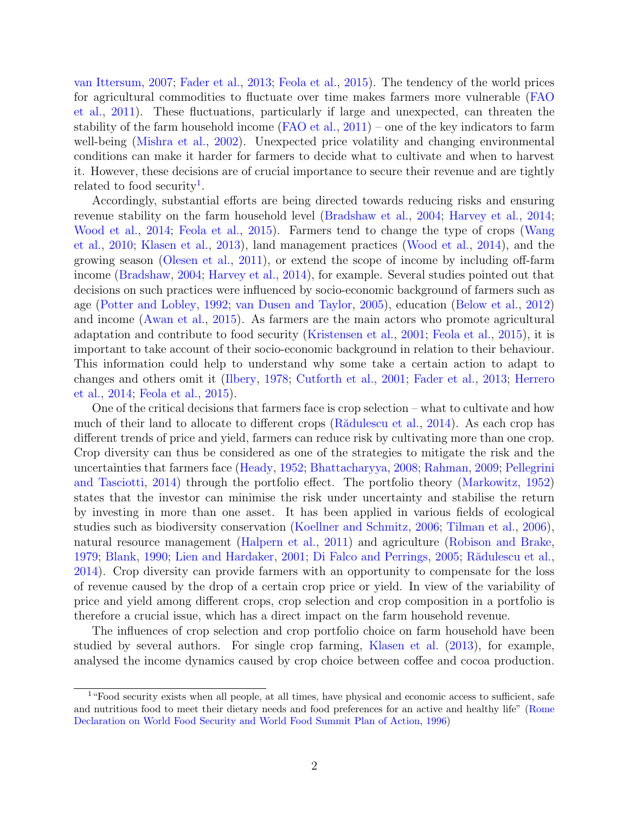[van Ittersum,](#page-23-0) [2007;](#page-23-0) [Fader et al.,](#page-21-0) [2013;](#page-21-0) [Feola et al.,](#page-21-1) [2015\)](#page-21-1). The tendency of the world prices for agricultural commodities to fluctuate over time makes farmers more vulnerable [\(FAO](#page-21-2) [et al.,](#page-21-2) [2011\)](#page-21-2). These fluctuations, particularly if large and unexpected, can threaten the stability of the farm household income [\(FAO et al.,](#page-21-2) [2011\)](#page-21-2) – one of the key indicators to farm well-being [\(Mishra et al.,](#page-24-0) [2002\)](#page-24-0). Unexpected price volatility and changing environmental conditions can make it harder for farmers to decide what to cultivate and when to harvest it. However, these decisions are of crucial importance to secure their revenue and are tightly related to food security<sup>[1](#page-1-0)</sup>.

Accordingly, substantial efforts are being directed towards reducing risks and ensuring revenue stability on the farm household level [\(Bradshaw et al.,](#page-20-0) [2004;](#page-20-0) [Harvey et al.,](#page-22-0) [2014;](#page-22-0) [Wood et al.,](#page-26-0) [2014;](#page-26-0) [Feola et al.,](#page-21-1) [2015\)](#page-21-1). Farmers tend to change the type of crops [\(Wang](#page-26-1) [et al.,](#page-26-1) [2010;](#page-26-1) [Klasen et al.,](#page-23-1) [2013\)](#page-23-1), land management practices [\(Wood et al.,](#page-26-0) [2014\)](#page-26-0), and the growing season [\(Olesen et al.,](#page-24-1) [2011\)](#page-24-1), or extend the scope of income by including off-farm income [\(Bradshaw,](#page-20-1) [2004;](#page-20-1) [Harvey et al.,](#page-22-0) [2014\)](#page-22-0), for example. Several studies pointed out that decisions on such practices were influenced by socio-economic background of farmers such as age [\(Potter and Lobley,](#page-25-0) [1992;](#page-25-0) [van Dusen and Taylor,](#page-21-3) [2005\)](#page-21-3), education [\(Below et al.,](#page-20-2) [2012\)](#page-20-2) and income [\(Awan et al.,](#page-20-3) [2015\)](#page-20-3). As farmers are the main actors who promote agricultural adaptation and contribute to food security [\(Kristensen et al.,](#page-23-2) [2001;](#page-23-2) [Feola et al.,](#page-21-1) [2015\)](#page-21-1), it is important to take account of their socio-economic background in relation to their behaviour. This information could help to understand why some take a certain action to adapt to changes and others omit it [\(Ilbery,](#page-23-3) [1978;](#page-23-3) [Cutforth et al.,](#page-21-4) [2001;](#page-21-4) [Fader et al.,](#page-21-0) [2013;](#page-21-0) [Herrero](#page-22-1) [et al.,](#page-22-1) [2014;](#page-22-1) [Feola et al.,](#page-21-1) [2015\)](#page-21-1).

One of the critical decisions that farmers face is crop selection – what to cultivate and how much of their land to allocate to different crops (R $\ddot{\text{add}}$ ulescu et al., [2014\)](#page-25-1). As each crop has different trends of price and yield, farmers can reduce risk by cultivating more than one crop. Crop diversity can thus be considered as one of the strategies to mitigate the risk and the uncertainties that farmers face [\(Heady,](#page-22-2) [1952;](#page-22-2) [Bhattacharyya,](#page-20-4) [2008;](#page-20-4) [Rahman,](#page-25-2) [2009;](#page-25-2) [Pellegrini](#page-25-3) [and Tasciotti,](#page-25-3) [2014\)](#page-25-3) through the portfolio effect. The portfolio theory [\(Markowitz,](#page-24-2) [1952\)](#page-24-2) states that the investor can minimise the risk under uncertainty and stabilise the return by investing in more than one asset. It has been applied in various fields of ecological studies such as biodiversity conservation [\(Koellner and Schmitz,](#page-23-4) [2006;](#page-23-4) [Tilman et al.,](#page-26-2) [2006\)](#page-26-2), natural resource management [\(Halpern et al.,](#page-22-3) [2011\)](#page-22-3) and agriculture [\(Robison and Brake,](#page-25-4) [1979;](#page-25-4) [Blank,](#page-20-5) [1990;](#page-20-5) [Lien and Hardaker,](#page-24-3) [2001;](#page-24-3) [Di Falco and Perrings,](#page-21-5) [2005;](#page-21-5) Rădulescu et al., [2014\)](#page-25-1). Crop diversity can provide farmers with an opportunity to compensate for the loss of revenue caused by the drop of a certain crop price or yield. In view of the variability of price and yield among different crops, crop selection and crop composition in a portfolio is therefore a crucial issue, which has a direct impact on the farm household revenue.

The influences of crop selection and crop portfolio choice on farm household have been studied by several authors. For single crop farming, [Klasen et al.](#page-23-1) [\(2013\)](#page-23-1), for example, analysed the income dynamics caused by crop choice between coffee and cocoa production.

<span id="page-1-0"></span><sup>&</sup>lt;sup>1</sup>"Food security exists when all people, at all times, have physical and economic access to sufficient, safe and nutritious food to meet their dietary needs and food preferences for an active and healthy life" [\(Rome](#page-25-5) [Declaration on World Food Security and World Food Summit Plan of Action,](#page-25-5) [1996\)](#page-25-5)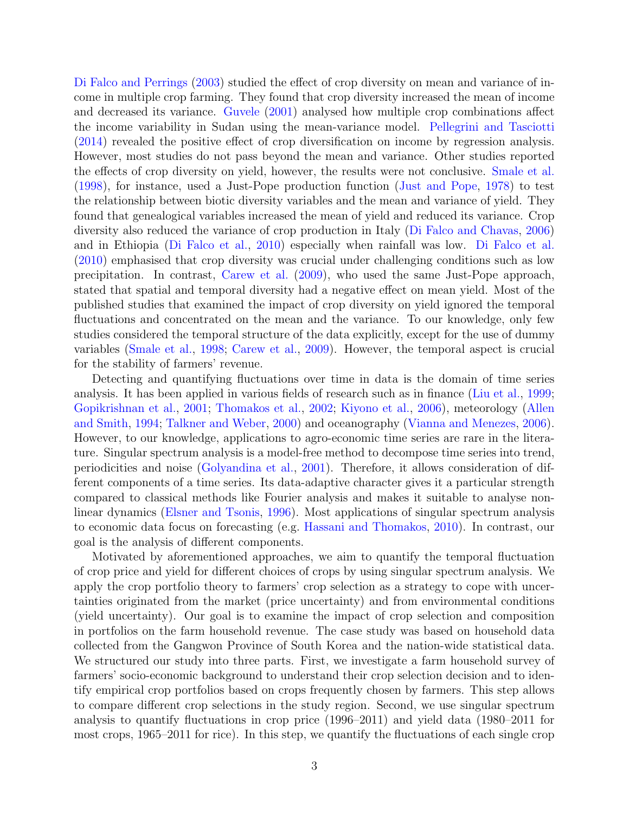[Di Falco and Perrings](#page-21-6) [\(2003\)](#page-21-6) studied the effect of crop diversity on mean and variance of income in multiple crop farming. They found that crop diversity increased the mean of income and decreased its variance. [Guvele](#page-22-4) [\(2001\)](#page-22-4) analysed how multiple crop combinations affect the income variability in Sudan using the mean-variance model. [Pellegrini and Tasciotti](#page-25-3) [\(2014\)](#page-25-3) revealed the positive effect of crop diversification on income by regression analysis. However, most studies do not pass beyond the mean and variance. Other studies reported the effects of crop diversity on yield, however, the results were not conclusive. [Smale et al.](#page-26-3) [\(1998\)](#page-26-3), for instance, used a Just-Pope production function [\(Just and Pope,](#page-23-5) [1978\)](#page-23-5) to test the relationship between biotic diversity variables and the mean and variance of yield. They found that genealogical variables increased the mean of yield and reduced its variance. Crop diversity also reduced the variance of crop production in Italy [\(Di Falco and Chavas,](#page-21-7) [2006\)](#page-21-7) and in Ethiopia [\(Di Falco et al.,](#page-21-8) [2010\)](#page-21-8) especially when rainfall was low. [Di Falco et al.](#page-21-8) [\(2010\)](#page-21-8) emphasised that crop diversity was crucial under challenging conditions such as low precipitation. In contrast, [Carew et al.](#page-20-6) [\(2009\)](#page-20-6), who used the same Just-Pope approach, stated that spatial and temporal diversity had a negative effect on mean yield. Most of the published studies that examined the impact of crop diversity on yield ignored the temporal fluctuations and concentrated on the mean and the variance. To our knowledge, only few studies considered the temporal structure of the data explicitly, except for the use of dummy variables [\(Smale et al.,](#page-26-3) [1998;](#page-26-3) [Carew et al.,](#page-20-6) [2009\)](#page-20-6). However, the temporal aspect is crucial for the stability of farmers' revenue.

Detecting and quantifying fluctuations over time in data is the domain of time series analysis. It has been applied in various fields of research such as in finance [\(Liu et al.,](#page-24-4) [1999;](#page-24-4) [Gopikrishnan et al.,](#page-22-5) [2001;](#page-22-5) [Thomakos et al.,](#page-26-4) [2002;](#page-26-4) [Kiyono et al.,](#page-23-6) [2006\)](#page-23-6), meteorology [\(Allen](#page-20-7) [and Smith,](#page-20-7) [1994;](#page-20-7) [Talkner and Weber,](#page-26-5) [2000\)](#page-26-5) and oceanography [\(Vianna and Menezes,](#page-26-6) [2006\)](#page-26-6). However, to our knowledge, applications to agro-economic time series are rare in the literature. Singular spectrum analysis is a model-free method to decompose time series into trend, periodicities and noise [\(Golyandina et al.,](#page-22-6) [2001\)](#page-22-6). Therefore, it allows consideration of different components of a time series. Its data-adaptive character gives it a particular strength compared to classical methods like Fourier analysis and makes it suitable to analyse nonlinear dynamics [\(Elsner and Tsonis,](#page-21-9) [1996\)](#page-21-9). Most applications of singular spectrum analysis to economic data focus on forecasting (e.g. [Hassani and Thomakos,](#page-22-7) [2010\)](#page-22-7). In contrast, our goal is the analysis of different components.

Motivated by aforementioned approaches, we aim to quantify the temporal fluctuation of crop price and yield for different choices of crops by using singular spectrum analysis. We apply the crop portfolio theory to farmers' crop selection as a strategy to cope with uncertainties originated from the market (price uncertainty) and from environmental conditions (yield uncertainty). Our goal is to examine the impact of crop selection and composition in portfolios on the farm household revenue. The case study was based on household data collected from the Gangwon Province of South Korea and the nation-wide statistical data. We structured our study into three parts. First, we investigate a farm household survey of farmers' socio-economic background to understand their crop selection decision and to identify empirical crop portfolios based on crops frequently chosen by farmers. This step allows to compare different crop selections in the study region. Second, we use singular spectrum analysis to quantify fluctuations in crop price (1996–2011) and yield data (1980–2011 for most crops, 1965–2011 for rice). In this step, we quantify the fluctuations of each single crop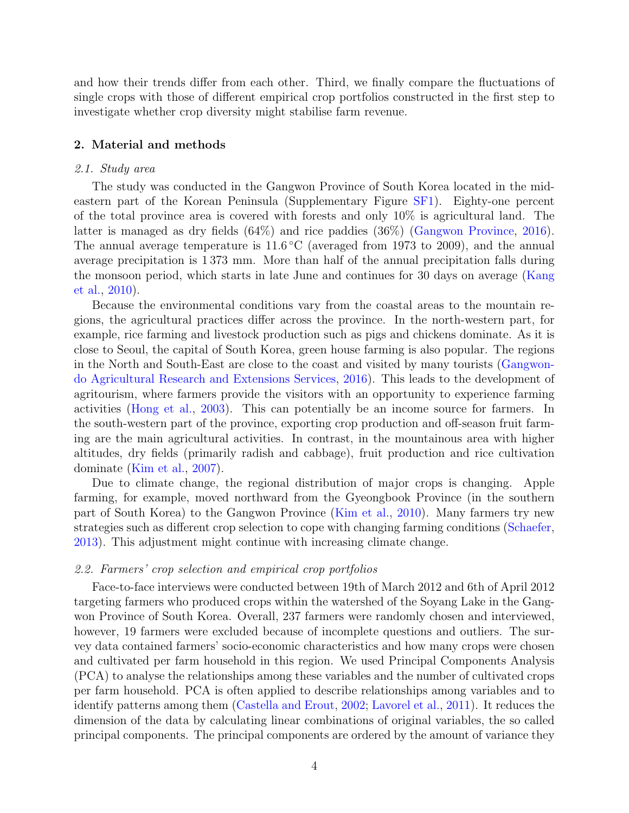and how their trends differ from each other. Third, we finally compare the fluctuations of single crops with those of different empirical crop portfolios constructed in the first step to investigate whether crop diversity might stabilise farm revenue.

## 2. Material and methods

## 2.1. Study area

The study was conducted in the Gangwon Province of South Korea located in the mideastern part of the Korean Peninsula (Supplementary Figure [SF1\)](#page-9-0). Eighty-one percent of the total province area is covered with forests and only 10% is agricultural land. The latter is managed as dry fields (64%) and rice paddies (36%) [\(Gangwon Province,](#page-22-8) [2016\)](#page-22-8). The annual average temperature is  $11.6\,^{\circ}\text{C}$  (averaged from 1973 to 2009), and the annual average precipitation is 1 373 mm. More than half of the annual precipitation falls during the monsoon period, which starts in late June and continues for 30 days on average [\(Kang](#page-23-7) [et al.,](#page-23-7) [2010\)](#page-23-7).

Because the environmental conditions vary from the coastal areas to the mountain regions, the agricultural practices differ across the province. In the north-western part, for example, rice farming and livestock production such as pigs and chickens dominate. As it is close to Seoul, the capital of South Korea, green house farming is also popular. The regions in the North and South-East are close to the coast and visited by many tourists [\(Gangwon](#page-21-10)[do Agricultural Research and Extensions Services,](#page-21-10) [2016\)](#page-21-10). This leads to the development of agritourism, where farmers provide the visitors with an opportunity to experience farming activities [\(Hong et al.,](#page-23-8) [2003\)](#page-23-8). This can potentially be an income source for farmers. In the south-western part of the province, exporting crop production and off-season fruit farming are the main agricultural activities. In contrast, in the mountainous area with higher altitudes, dry fields (primarily radish and cabbage), fruit production and rice cultivation dominate [\(Kim et al.,](#page-23-9) [2007\)](#page-23-9).

Due to climate change, the regional distribution of major crops is changing. Apple farming, for example, moved northward from the Gyeongbook Province (in the southern part of South Korea) to the Gangwon Province [\(Kim et al.,](#page-23-10) [2010\)](#page-23-10). Many farmers try new strategies such as different crop selection to cope with changing farming conditions [\(Schaefer,](#page-25-6) [2013\)](#page-25-6). This adjustment might continue with increasing climate change.

## 2.2. Farmers' crop selection and empirical crop portfolios

Face-to-face interviews were conducted between 19th of March 2012 and 6th of April 2012 targeting farmers who produced crops within the watershed of the Soyang Lake in the Gangwon Province of South Korea. Overall, 237 farmers were randomly chosen and interviewed, however, 19 farmers were excluded because of incomplete questions and outliers. The survey data contained farmers' socio-economic characteristics and how many crops were chosen and cultivated per farm household in this region. We used Principal Components Analysis (PCA) to analyse the relationships among these variables and the number of cultivated crops per farm household. PCA is often applied to describe relationships among variables and to identify patterns among them [\(Castella and Erout,](#page-20-8) [2002;](#page-20-8) [Lavorel et al.,](#page-24-5) [2011\)](#page-24-5). It reduces the dimension of the data by calculating linear combinations of original variables, the so called principal components. The principal components are ordered by the amount of variance they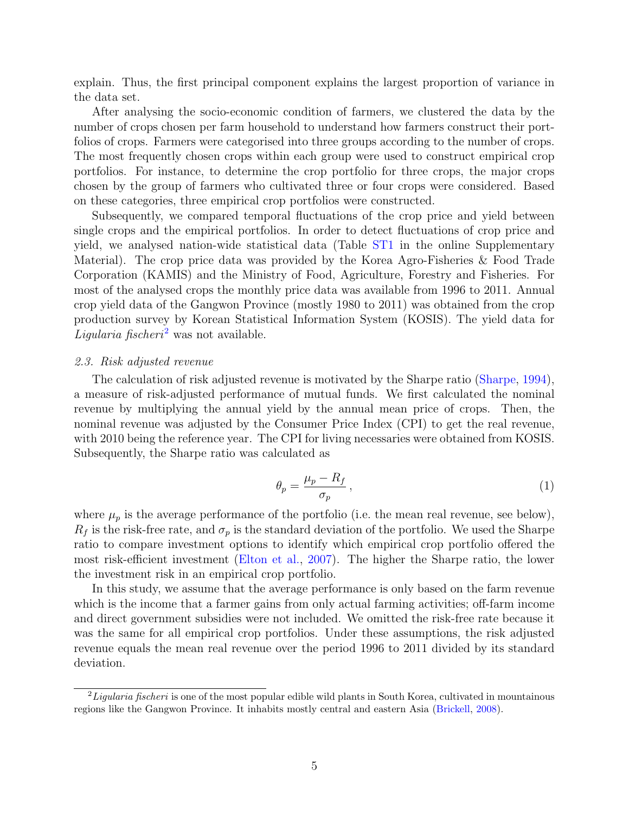explain. Thus, the first principal component explains the largest proportion of variance in the data set.

After analysing the socio-economic condition of farmers, we clustered the data by the number of crops chosen per farm household to understand how farmers construct their portfolios of crops. Farmers were categorised into three groups according to the number of crops. The most frequently chosen crops within each group were used to construct empirical crop portfolios. For instance, to determine the crop portfolio for three crops, the major crops chosen by the group of farmers who cultivated three or four crops were considered. Based on these categories, three empirical crop portfolios were constructed.

Subsequently, we compared temporal fluctuations of the crop price and yield between single crops and the empirical portfolios. In order to detect fluctuations of crop price and yield, we analysed nation-wide statistical data (Table [ST1](#page-8-0) in the online Supplementary Material). The crop price data was provided by the Korea Agro-Fisheries & Food Trade Corporation (KAMIS) and the Ministry of Food, Agriculture, Forestry and Fisheries. For most of the analysed crops the monthly price data was available from 1996 to 2011. Annual crop yield data of the Gangwon Province (mostly 1980 to 2011) was obtained from the crop production survey by Korean Statistical Information System (KOSIS). The yield data for *Ligularia fischeri*<sup>[2](#page-4-0)</sup> was not available.

## 2.3. Risk adjusted revenue

The calculation of risk adjusted revenue is motivated by the Sharpe ratio [\(Sharpe,](#page-26-7) [1994\)](#page-26-7), a measure of risk-adjusted performance of mutual funds. We first calculated the nominal revenue by multiplying the annual yield by the annual mean price of crops. Then, the nominal revenue was adjusted by the Consumer Price Index (CPI) to get the real revenue, with 2010 being the reference year. The CPI for living necessaries were obtained from KOSIS. Subsequently, the Sharpe ratio was calculated as

$$
\theta_p = \frac{\mu_p - R_f}{\sigma_p} \,,\tag{1}
$$

where  $\mu_p$  is the average performance of the portfolio (i.e. the mean real revenue, see below),  $R_f$  is the risk-free rate, and  $\sigma_p$  is the standard deviation of the portfolio. We used the Sharpe ratio to compare investment options to identify which empirical crop portfolio offered the most risk-efficient investment [\(Elton et al.,](#page-21-11) [2007\)](#page-21-11). The higher the Sharpe ratio, the lower the investment risk in an empirical crop portfolio.

In this study, we assume that the average performance is only based on the farm revenue which is the income that a farmer gains from only actual farming activities; off-farm income and direct government subsidies were not included. We omitted the risk-free rate because it was the same for all empirical crop portfolios. Under these assumptions, the risk adjusted revenue equals the mean real revenue over the period 1996 to 2011 divided by its standard deviation.

<span id="page-4-0"></span> $^{2}$ Ligularia fischeri is one of the most popular edible wild plants in South Korea, cultivated in mountainous regions like the Gangwon Province. It inhabits mostly central and eastern Asia [\(Brickell,](#page-20-9) [2008\)](#page-20-9).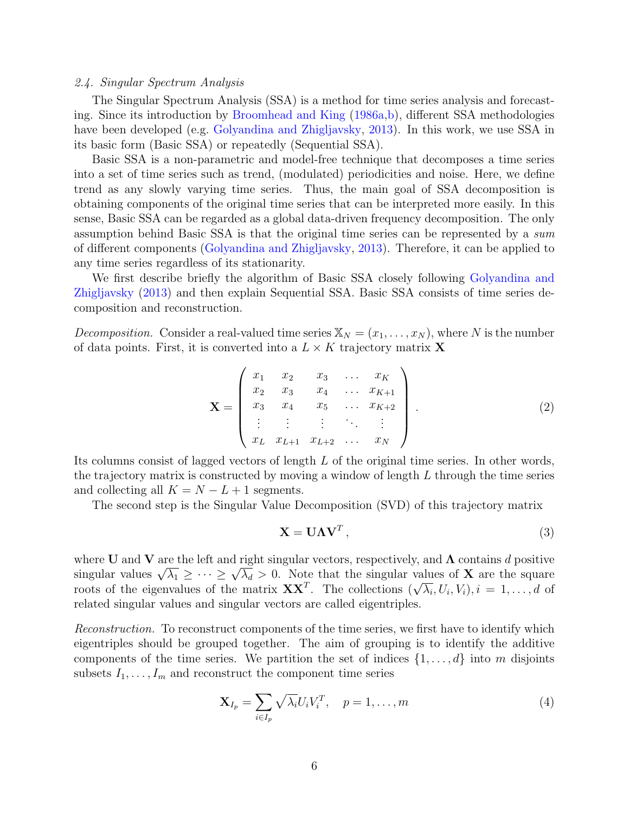#### 2.4. Singular Spectrum Analysis

The Singular Spectrum Analysis (SSA) is a method for time series analysis and forecasting. Since its introduction by [Broomhead and King](#page-20-10) [\(1986a](#page-20-10)[,b\)](#page-20-11), different SSA methodologies have been developed (e.g. [Golyandina and Zhigljavsky,](#page-22-9) [2013\)](#page-22-9). In this work, we use SSA in its basic form (Basic SSA) or repeatedly (Sequential SSA).

Basic SSA is a non-parametric and model-free technique that decomposes a time series into a set of time series such as trend, (modulated) periodicities and noise. Here, we define trend as any slowly varying time series. Thus, the main goal of SSA decomposition is obtaining components of the original time series that can be interpreted more easily. In this sense, Basic SSA can be regarded as a global data-driven frequency decomposition. The only assumption behind Basic SSA is that the original time series can be represented by a sum of different components [\(Golyandina and Zhigljavsky,](#page-22-9) [2013\)](#page-22-9). Therefore, it can be applied to any time series regardless of its stationarity.

We first describe briefly the algorithm of Basic SSA closely following [Golyandina and](#page-22-9) [Zhigljavsky](#page-22-9) [\(2013\)](#page-22-9) and then explain Sequential SSA. Basic SSA consists of time series decomposition and reconstruction.

*Decomposition.* Consider a real-valued time series  $\mathbb{X}_N = (x_1, \ldots, x_N)$ , where N is the number of data points. First, it is converted into a  $L \times K$  trajectory matrix **X** 

$$
\mathbf{X} = \begin{pmatrix} x_1 & x_2 & x_3 & \dots & x_K \\ x_2 & x_3 & x_4 & \dots & x_{K+1} \\ x_3 & x_4 & x_5 & \dots & x_{K+2} \\ \vdots & \vdots & \vdots & \ddots & \vdots \\ x_L & x_{L+1} & x_{L+2} & \dots & x_N \end{pmatrix} .
$$
 (2)

Its columns consist of lagged vectors of length L of the original time series. In other words, the trajectory matrix is constructed by moving a window of length  $L$  through the time series and collecting all  $K = N - L + 1$  segments.

The second step is the Singular Value Decomposition (SVD) of this trajectory matrix

$$
\mathbf{X} = \mathbf{U}\mathbf{\Lambda}\mathbf{V}^T,\tag{3}
$$

where U and V are the left and right singular vectors, respectively, and  $\Lambda$  contains d positive where **O** and **v** are the left and right singular vectors, respectively, and  $\Lambda$  contains a positive singular values  $\sqrt{\lambda_1} \geq \cdots \geq \sqrt{\lambda_d} > 0$ . Note that the singular values of **X** are the square singular values  $\sqrt{\lambda_1} \leq \cdots \leq \sqrt{\lambda_d} > 0$ . Note that the singular values of  $\lambda$  are the square roots of the eigenvalues of the matrix  $\mathbf{X} \mathbf{X}^T$ . The collections  $(\sqrt{\lambda_i}, U_i, V_i), i = 1, \ldots, d$  of related singular values and singular vectors are called eigentriples.

Reconstruction. To reconstruct components of the time series, we first have to identify which eigentriples should be grouped together. The aim of grouping is to identify the additive components of the time series. We partition the set of indices  $\{1, \ldots, d\}$  into m disjoints subsets  $I_1, \ldots, I_m$  and reconstruct the component time series

$$
\mathbf{X}_{I_p} = \sum_{i \in I_p} \sqrt{\lambda_i} U_i V_i^T, \quad p = 1, \dots, m \tag{4}
$$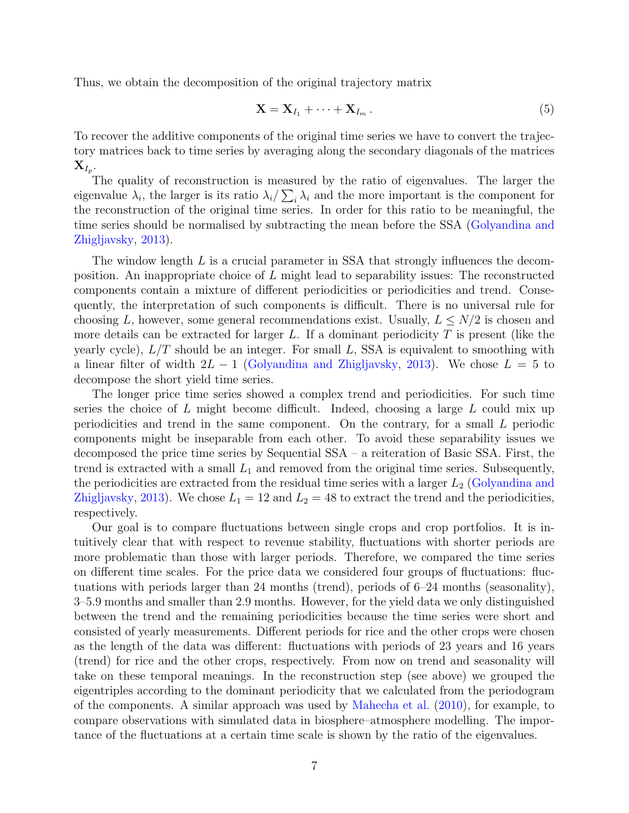Thus, we obtain the decomposition of the original trajectory matrix

$$
\mathbf{X} = \mathbf{X}_{I_1} + \dots + \mathbf{X}_{I_m} \,. \tag{5}
$$

To recover the additive components of the original time series we have to convert the trajectory matrices back to time series by averaging along the secondary diagonals of the matrices  $\mathbf{X}_{I_p}.$ 

The quality of reconstruction is measured by the ratio of eigenvalues. The larger the eigenvalue  $\lambda_i$ , the larger is its ratio  $\lambda_i/\sum_i\lambda_i$  and the more important is the component for the reconstruction of the original time series. In order for this ratio to be meaningful, the time series should be normalised by subtracting the mean before the SSA [\(Golyandina and](#page-22-9) [Zhigljavsky,](#page-22-9) [2013\)](#page-22-9).

The window length L is a crucial parameter in SSA that strongly influences the decomposition. An inappropriate choice of L might lead to separability issues: The reconstructed components contain a mixture of different periodicities or periodicities and trend. Consequently, the interpretation of such components is difficult. There is no universal rule for choosing L, however, some general recommendations exist. Usually,  $L \leq N/2$  is chosen and more details can be extracted for larger L. If a dominant periodicity  $T$  is present (like the yearly cycle),  $L/T$  should be an integer. For small L, SSA is equivalent to smoothing with a linear filter of width  $2L - 1$  [\(Golyandina and Zhigljavsky,](#page-22-9) [2013\)](#page-22-9). We chose  $L = 5$  to decompose the short yield time series.

The longer price time series showed a complex trend and periodicities. For such time series the choice of L might become difficult. Indeed, choosing a large L could mix up periodicities and trend in the same component. On the contrary, for a small L periodic components might be inseparable from each other. To avoid these separability issues we decomposed the price time series by Sequential SSA – a reiteration of Basic SSA. First, the trend is extracted with a small  $L_1$  and removed from the original time series. Subsequently, the periodicities are extracted from the residual time series with a larger  $L_2$  [\(Golyandina and](#page-22-9) [Zhigljavsky,](#page-22-9) [2013\)](#page-22-9). We chose  $L_1 = 12$  and  $L_2 = 48$  to extract the trend and the periodicities, respectively.

Our goal is to compare fluctuations between single crops and crop portfolios. It is intuitively clear that with respect to revenue stability, fluctuations with shorter periods are more problematic than those with larger periods. Therefore, we compared the time series on different time scales. For the price data we considered four groups of fluctuations: fluctuations with periods larger than 24 months (trend), periods of 6–24 months (seasonality), 3–5.9 months and smaller than 2.9 months. However, for the yield data we only distinguished between the trend and the remaining periodicities because the time series were short and consisted of yearly measurements. Different periods for rice and the other crops were chosen as the length of the data was different: fluctuations with periods of 23 years and 16 years (trend) for rice and the other crops, respectively. From now on trend and seasonality will take on these temporal meanings. In the reconstruction step (see above) we grouped the eigentriples according to the dominant periodicity that we calculated from the periodogram of the components. A similar approach was used by [Mahecha et al.](#page-24-6) [\(2010\)](#page-24-6), for example, to compare observations with simulated data in biosphere–atmosphere modelling. The importance of the fluctuations at a certain time scale is shown by the ratio of the eigenvalues.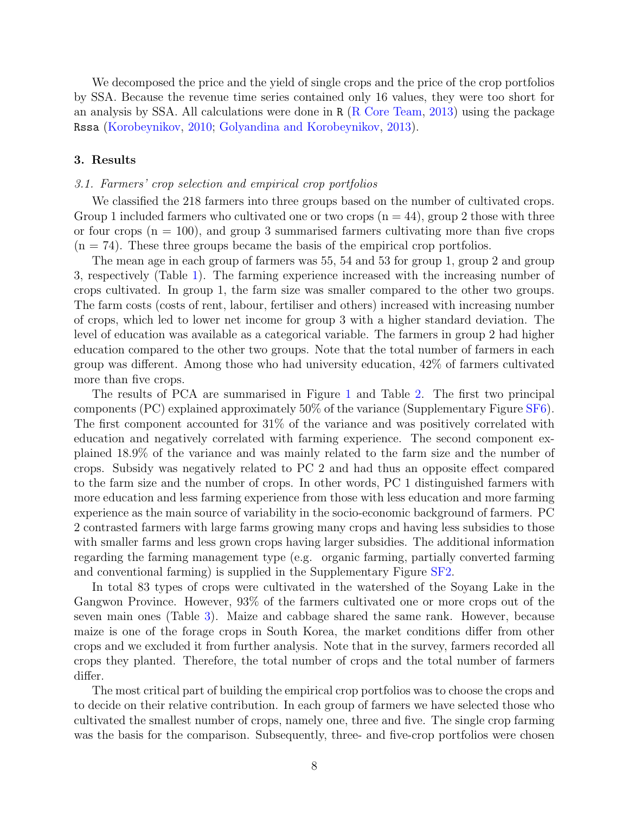We decomposed the price and the yield of single crops and the price of the crop portfolios by SSA. Because the revenue time series contained only 16 values, they were too short for an analysis by SSA. All calculations were done in R [\(R Core Team,](#page-25-7) [2013\)](#page-25-7) using the package Rssa [\(Korobeynikov,](#page-23-11) [2010;](#page-23-11) [Golyandina and Korobeynikov,](#page-22-10) [2013\)](#page-22-10).

## 3. Results

## 3.1. Farmers' crop selection and empirical crop portfolios

We classified the 218 farmers into three groups based on the number of cultivated crops. Group 1 included farmers who cultivated one or two crops  $(n = 44)$ , group 2 those with three or four crops  $(n = 100)$ , and group 3 summarised farmers cultivating more than five crops  $(n = 74)$ . These three groups became the basis of the empirical crop portfolios.

The mean age in each group of farmers was 55, 54 and 53 for group 1, group 2 and group 3, respectively (Table [1\)](#page-8-0). The farming experience increased with the increasing number of crops cultivated. In group 1, the farm size was smaller compared to the other two groups. The farm costs (costs of rent, labour, fertiliser and others) increased with increasing number of crops, which led to lower net income for group 3 with a higher standard deviation. The level of education was available as a categorical variable. The farmers in group 2 had higher education compared to the other two groups. Note that the total number of farmers in each group was different. Among those who had university education, 42% of farmers cultivated more than five crops.

The results of PCA are summarised in Figure [1](#page-9-0) and Table [2.](#page-9-1) The first two principal components (PC) explained approximately 50% of the variance (Supplementary Figure [SF6\)](#page-15-0). The first component accounted for 31% of the variance and was positively correlated with education and negatively correlated with farming experience. The second component explained 18.9% of the variance and was mainly related to the farm size and the number of crops. Subsidy was negatively related to PC 2 and had thus an opposite effect compared to the farm size and the number of crops. In other words, PC 1 distinguished farmers with more education and less farming experience from those with less education and more farming experience as the main source of variability in the socio-economic background of farmers. PC 2 contrasted farmers with large farms growing many crops and having less subsidies to those with smaller farms and less grown crops having larger subsidies. The additional information regarding the farming management type (e.g. organic farming, partially converted farming and conventional farming) is supplied in the Supplementary Figure [SF2.](#page-11-0)

In total 83 types of crops were cultivated in the watershed of the Soyang Lake in the Gangwon Province. However, 93% of the farmers cultivated one or more crops out of the seven main ones (Table [3\)](#page-10-0). Maize and cabbage shared the same rank. However, because maize is one of the forage crops in South Korea, the market conditions differ from other crops and we excluded it from further analysis. Note that in the survey, farmers recorded all crops they planted. Therefore, the total number of crops and the total number of farmers differ.

The most critical part of building the empirical crop portfolios was to choose the crops and to decide on their relative contribution. In each group of farmers we have selected those who cultivated the smallest number of crops, namely one, three and five. The single crop farming was the basis for the comparison. Subsequently, three- and five-crop portfolios were chosen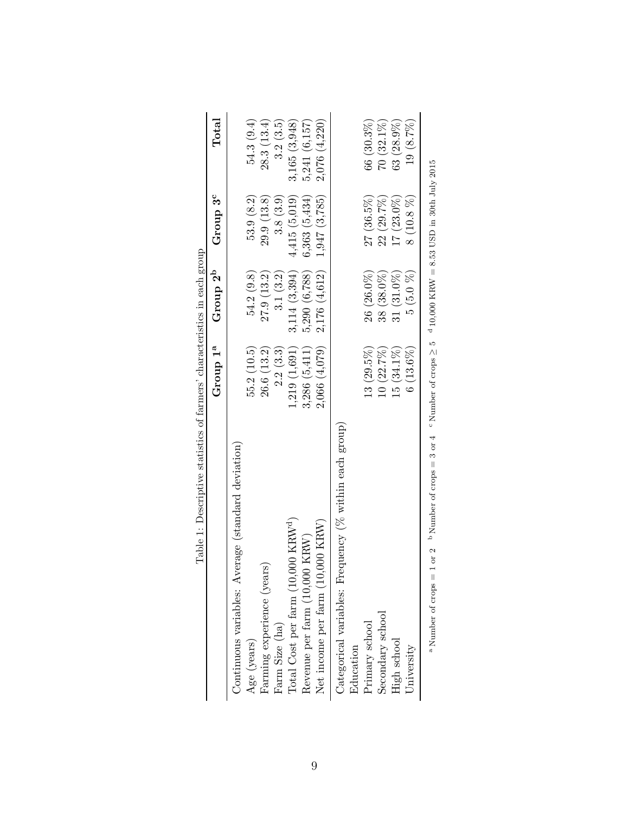<span id="page-8-0"></span>

| Table 1: Descriptive statistics of farmers' characteristics in each group                                                                |                      |                      |                 |              |
|------------------------------------------------------------------------------------------------------------------------------------------|----------------------|----------------------|-----------------|--------------|
|                                                                                                                                          | Group 1 <sup>a</sup> | Group 2 <sup>b</sup> | Group $3^c$     | $\rm Total$  |
| Continuous variables: Average (standard deviation)                                                                                       |                      |                      |                 |              |
| Age (years)                                                                                                                              | 55.2(10.5)           | 54.2(9.8)            | 53.9(8.2)       | 54.3(9.4)    |
| Farming experience (years)                                                                                                               | 26.6(13.2)           | 27.9(13.2)           | 29.9(13.8)      | 28.3(13.4)   |
| Farm Size (ha)                                                                                                                           | 2.2(3.3)             | 3.1(3.2)             | 3.8(3.9)        | 3.2(3.5)     |
| Total Cost per farm (10,000 KRW <sup>d</sup> )                                                                                           | 1,219(1,691)         | 3,114(3,394)         | 4,415(5,019)    | 3,165(3,948) |
| Revenue per farm (10,000 KRW)                                                                                                            | 3,286(5,411)         | 5,290 (6,788)        | 6,363(5,434)    | 5,241(6,157) |
| Net income per farm (10,000 KRW)                                                                                                         | 2,066(4,079)         | 2,176 (4,612)        | $1,947$ (3,785) | 2,076(4,220) |
| Categorical variables: Frequency (% within each group)                                                                                   |                      |                      |                 |              |
| Education                                                                                                                                |                      |                      |                 |              |
| Primary school                                                                                                                           | $13(29.5\%)$         | $26(26.0\%)$         | $27(36.5\%)$    | $66(30.3\%)$ |
| Secondary school                                                                                                                         | 10(22.7%)            | $38(38.0\%)$         | $22(29.7\%)$    | $70(32.1\%)$ |
| High school                                                                                                                              | $15(34.1\%)$         | $31(31.0\%)$         | $17(23.0\%)$    | $63(28.9\%)$ |
| University                                                                                                                               | $6(13.6\%)$          | 5(5.0%               | $8(10.8\%)$     | 19 (8.7%)    |
| $1 \text{ or } 2$ b Number of crops = 3 or 4 c Number of crops $\geq 5$ d 10,000 KRW = 8.53 USD in 30th July 2015<br>a Number of crops = |                      |                      |                 |              |

|                | n each                                                                                                                   |               |
|----------------|--------------------------------------------------------------------------------------------------------------------------|---------------|
|                |                                                                                                                          |               |
|                | $\sim$                                                                                                                   |               |
|                |                                                                                                                          |               |
|                |                                                                                                                          |               |
|                |                                                                                                                          |               |
|                |                                                                                                                          |               |
|                |                                                                                                                          |               |
|                |                                                                                                                          |               |
|                |                                                                                                                          |               |
|                |                                                                                                                          |               |
|                | $\frac{1}{2}$                                                                                                            |               |
|                |                                                                                                                          |               |
|                |                                                                                                                          |               |
|                |                                                                                                                          |               |
|                |                                                                                                                          |               |
|                |                                                                                                                          |               |
|                |                                                                                                                          |               |
|                |                                                                                                                          |               |
|                |                                                                                                                          |               |
|                | $-1 + 1 + 1 = 0$                                                                                                         | $\frac{1}{2}$ |
|                |                                                                                                                          |               |
|                |                                                                                                                          |               |
|                |                                                                                                                          |               |
|                |                                                                                                                          |               |
|                |                                                                                                                          |               |
|                |                                                                                                                          |               |
|                |                                                                                                                          |               |
|                |                                                                                                                          |               |
|                |                                                                                                                          |               |
|                |                                                                                                                          |               |
|                |                                                                                                                          |               |
|                |                                                                                                                          |               |
|                |                                                                                                                          |               |
|                | STATISTICS                                                                                                               |               |
|                |                                                                                                                          |               |
|                |                                                                                                                          |               |
|                |                                                                                                                          |               |
|                |                                                                                                                          |               |
|                |                                                                                                                          |               |
|                | i<br>1<br>1<br>1<br>1<br>1<br>1                                                                                          |               |
|                |                                                                                                                          |               |
|                |                                                                                                                          |               |
|                |                                                                                                                          |               |
|                |                                                                                                                          |               |
|                |                                                                                                                          |               |
|                | $\begin{array}{c} \begin{array}{c} \begin{array}{c} \end{array} \\ \begin{array}{c} \end{array} \end{array} \end{array}$ |               |
| $\mathfrak{c}$ |                                                                                                                          |               |
|                |                                                                                                                          |               |
|                |                                                                                                                          |               |
|                |                                                                                                                          |               |
|                |                                                                                                                          |               |
|                |                                                                                                                          |               |
|                |                                                                                                                          |               |
|                |                                                                                                                          |               |
| r<br>F         | Pable <sub></sub>                                                                                                        |               |
|                |                                                                                                                          |               |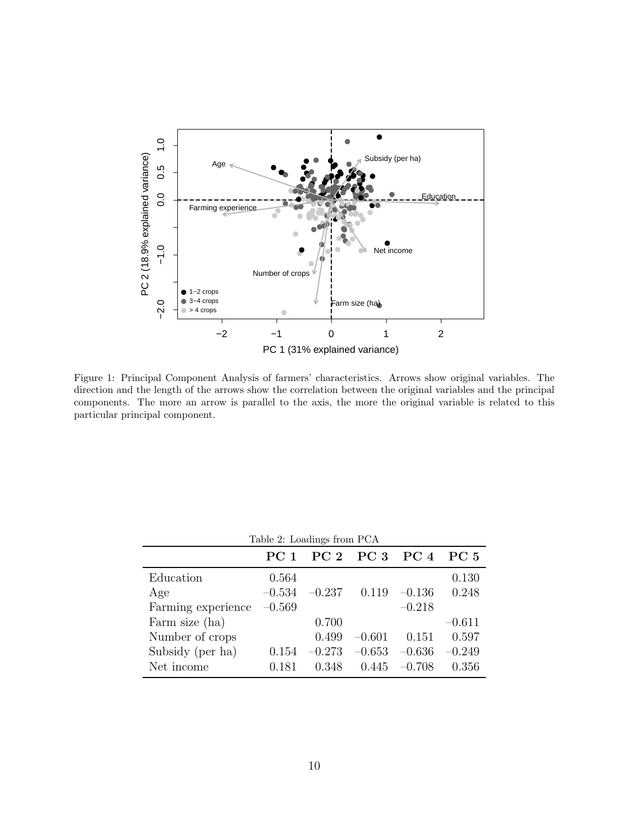

<span id="page-9-0"></span>Figure 1: Principal Component Analysis of farmers' characteristics. Arrows show original variables. The direction and the length of the arrows show the correlation between the original variables and the principal components. The more an arrow is parallel to the axis, the more the original variable is related to this particular principal component.

<span id="page-9-1"></span>

| Table 2: Loadings from PCA |                 |          |                |          |                 |
|----------------------------|-----------------|----------|----------------|----------|-----------------|
|                            | PC <sub>1</sub> |          | PC 2 PC 3 PC 4 |          | PC <sub>5</sub> |
| Education                  | 0.564           |          |                |          | 0.130           |
| Age                        | $-0.534$        | $-0.237$ | 0.119          | $-0.136$ | 0.248           |
| Farming experience         | $-0.569$        |          |                | $-0.218$ |                 |
| Farm size (ha)             |                 | 0.700    |                |          | $-0.611$        |
| Number of crops            |                 | 0.499    | $-0.601$       | 0.151    | 0.597           |
| Subsidy (per ha)           | 0.154           | $-0.273$ | $-0.653$       | $-0.636$ | $-0.249$        |
| Net income                 | 0.181           | 0.348    | 0.445          | $-0.708$ | 0.356           |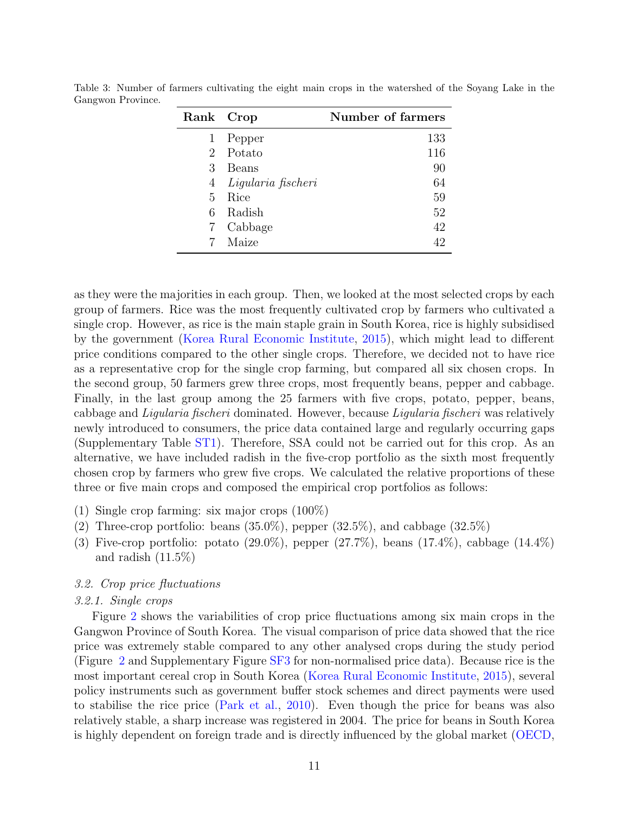| Rank Crop      |                    | Number of farmers |
|----------------|--------------------|-------------------|
| 1              | Pepper             | 133               |
| $\overline{2}$ | Potato             | 116               |
| 3              | Beans              | 90                |
| 4              | Ligularia fischeri | 64                |
| 5              | Rice               | 59                |
| 6              | Radish             | 52                |
| 7              | Cabbage            | 42                |
|                | Maize              | 42                |

<span id="page-10-0"></span>Table 3: Number of farmers cultivating the eight main crops in the watershed of the Soyang Lake in the Gangwon Province.

as they were the majorities in each group. Then, we looked at the most selected crops by each group of farmers. Rice was the most frequently cultivated crop by farmers who cultivated a single crop. However, as rice is the main staple grain in South Korea, rice is highly subsidised by the government [\(Korea Rural Economic Institute,](#page-23-12) [2015\)](#page-23-12), which might lead to different price conditions compared to the other single crops. Therefore, we decided not to have rice as a representative crop for the single crop farming, but compared all six chosen crops. In the second group, 50 farmers grew three crops, most frequently beans, pepper and cabbage. Finally, in the last group among the 25 farmers with five crops, potato, pepper, beans, cabbage and Ligularia fischeri dominated. However, because Ligularia fischeri was relatively newly introduced to consumers, the price data contained large and regularly occurring gaps (Supplementary Table [ST1\)](#page-8-0). Therefore, SSA could not be carried out for this crop. As an alternative, we have included radish in the five-crop portfolio as the sixth most frequently chosen crop by farmers who grew five crops. We calculated the relative proportions of these three or five main crops and composed the empirical crop portfolios as follows:

- (1) Single crop farming: six major crops (100%)
- (2) Three-crop portfolio: beans  $(35.0\%)$ , pepper  $(32.5\%)$ , and cabbage  $(32.5\%)$
- (3) Five-crop portfolio: potato  $(29.0\%)$ , pepper  $(27.7\%)$ , beans  $(17.4\%)$ , cabbage  $(14.4\%)$ and radish  $(11.5\%)$

# 3.2. Crop price fluctuations

#### 3.2.1. Single crops

Figure [2](#page-11-0) shows the variabilities of crop price fluctuations among six main crops in the Gangwon Province of South Korea. The visual comparison of price data showed that the rice price was extremely stable compared to any other analysed crops during the study period (Figure [2](#page-11-0) and Supplementary Figure [SF3](#page-12-0) for non-normalised price data). Because rice is the most important cereal crop in South Korea [\(Korea Rural Economic Institute,](#page-23-12) [2015\)](#page-23-12), several policy instruments such as government buffer stock schemes and direct payments were used to stabilise the rice price [\(Park et al.,](#page-25-8) [2010\)](#page-25-8). Even though the price for beans was also relatively stable, a sharp increase was registered in 2004. The price for beans in South Korea is highly dependent on foreign trade and is directly influenced by the global market [\(OECD,](#page-24-7)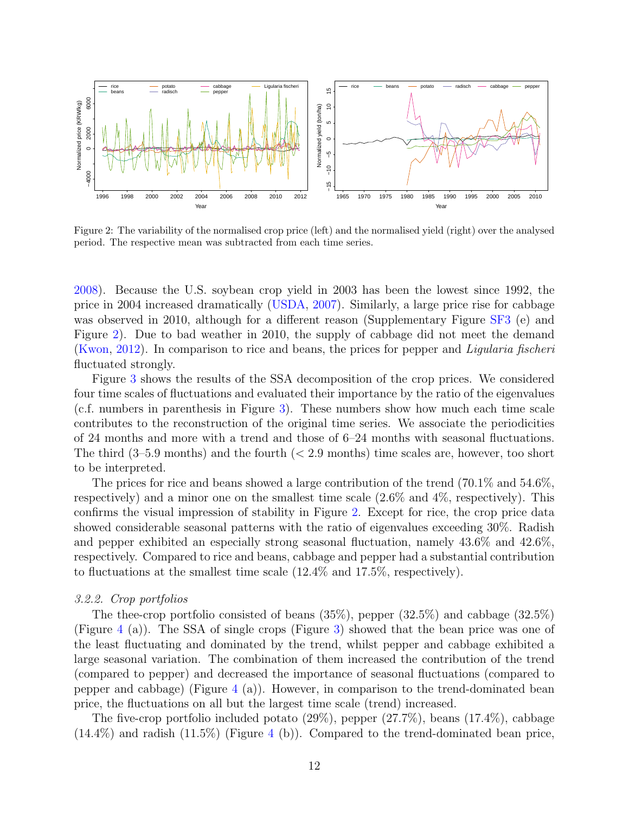

<span id="page-11-0"></span>Figure 2: The variability of the normalised crop price (left) and the normalised yield (right) over the analysed period. The respective mean was subtracted from each time series.

[2008\)](#page-24-7). Because the U.S. soybean crop yield in 2003 has been the lowest since 1992, the price in 2004 increased dramatically [\(USDA,](#page-26-8) [2007\)](#page-26-8). Similarly, a large price rise for cabbage was observed in 2010, although for a different reason (Supplementary Figure [SF3](#page-12-0) (e) and Figure [2\)](#page-11-0). Due to bad weather in 2010, the supply of cabbage did not meet the demand [\(Kwon,](#page-24-8) [2012\)](#page-24-8). In comparison to rice and beans, the prices for pepper and Ligularia fischeri fluctuated strongly.

Figure [3](#page-12-0) shows the results of the SSA decomposition of the crop prices. We considered four time scales of fluctuations and evaluated their importance by the ratio of the eigenvalues (c.f. numbers in parenthesis in Figure [3\)](#page-12-0). These numbers show how much each time scale contributes to the reconstruction of the original time series. We associate the periodicities of 24 months and more with a trend and those of 6–24 months with seasonal fluctuations. The third  $(3-5.9 \text{ months})$  and the fourth  $( $2.9 \text{ months}$ ) time scales are, however, too short$ to be interpreted.

The prices for rice and beans showed a large contribution of the trend (70.1\%) and 54.6\%, respectively) and a minor one on the smallest time scale (2.6% and 4%, respectively). This confirms the visual impression of stability in Figure [2.](#page-11-0) Except for rice, the crop price data showed considerable seasonal patterns with the ratio of eigenvalues exceeding 30%. Radish and pepper exhibited an especially strong seasonal fluctuation, namely 43.6% and 42.6%, respectively. Compared to rice and beans, cabbage and pepper had a substantial contribution to fluctuations at the smallest time scale (12.4% and 17.5%, respectively).

#### 3.2.2. Crop portfolios

The thee-crop portfolio consisted of beans (35%), pepper (32.5%) and cabbage (32.5%) (Figure [4](#page-13-0) (a)). The SSA of single crops (Figure [3\)](#page-12-0) showed that the bean price was one of the least fluctuating and dominated by the trend, whilst pepper and cabbage exhibited a large seasonal variation. The combination of them increased the contribution of the trend (compared to pepper) and decreased the importance of seasonal fluctuations (compared to pepper and cabbage) (Figure  $4$  (a)). However, in comparison to the trend-dominated bean price, the fluctuations on all but the largest time scale (trend) increased.

The five-crop portfolio included potato (29%), pepper (27.7%), beans (17.4%), cabbage  $(14.4\%)$  $(14.4\%)$  $(14.4\%)$  and radish  $(11.5\%)$  (Figure 4 (b)). Compared to the trend-dominated bean price,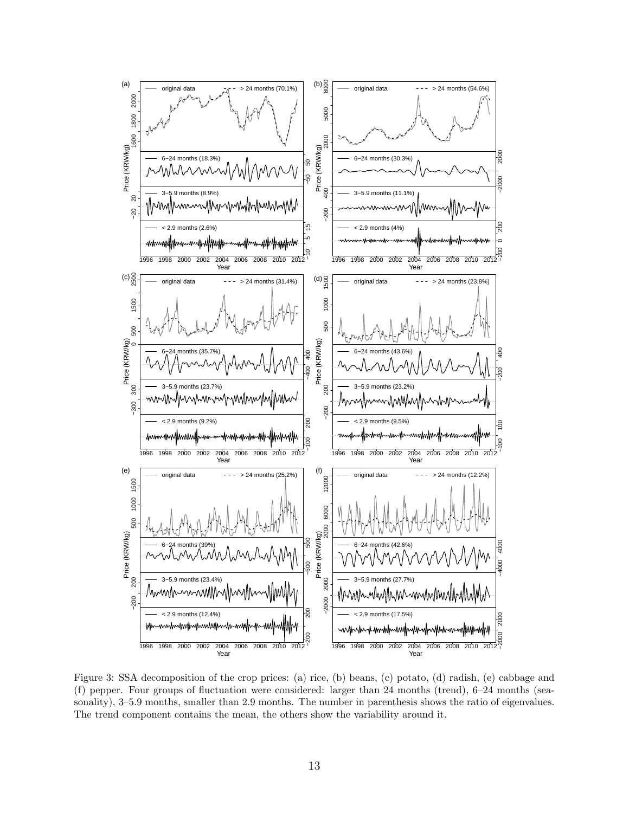

<span id="page-12-0"></span>Figure 3: SSA decomposition of the crop prices: (a) rice, (b) beans, (c) potato, (d) radish, (e) cabbage and (f) pepper. Four groups of fluctuation were considered: larger than 24 months (trend),  $6-24$  months (seasonality), 3–5.9 months, smaller than 2.9 months. The number in parenthesis shows the ratio of eigenvalues. The trend component contains the mean, the others show the variability around it.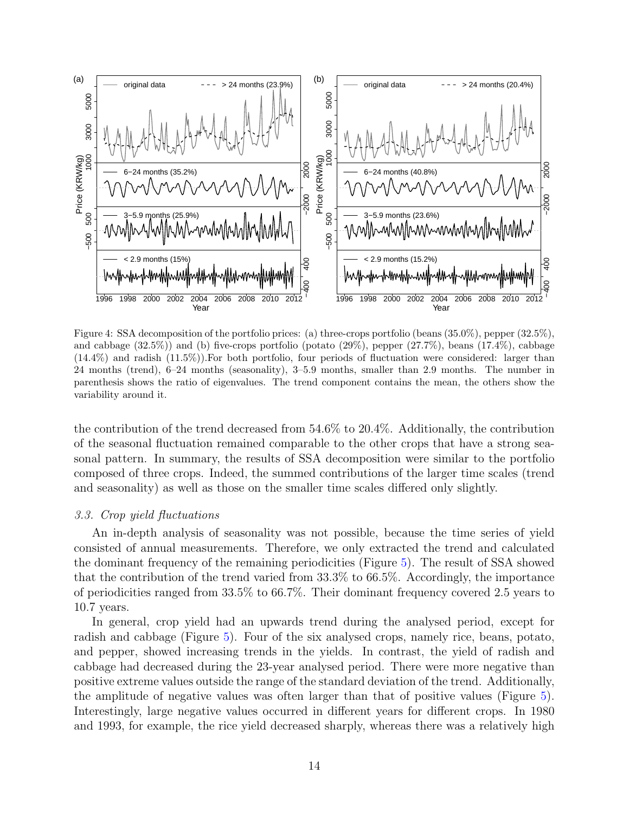

<span id="page-13-0"></span>Figure 4: SSA decomposition of the portfolio prices: (a) three-crops portfolio (beans (35.0%), pepper (32.5%), and cabbage  $(32.5\%)$  and (b) five-crops portfolio (potato  $(29\%)$ , pepper  $(27.7\%)$ , beans  $(17.4\%)$ , cabbage  $(14.4\%)$  and radish  $(11.5\%)$ . For both portfolio, four periods of fluctuation were considered: larger than 24 months (trend), 6–24 months (seasonality), 3–5.9 months, smaller than 2.9 months. The number in parenthesis shows the ratio of eigenvalues. The trend component contains the mean, the others show the variability around it.

the contribution of the trend decreased from 54.6% to 20.4%. Additionally, the contribution of the seasonal fluctuation remained comparable to the other crops that have a strong seasonal pattern. In summary, the results of SSA decomposition were similar to the portfolio composed of three crops. Indeed, the summed contributions of the larger time scales (trend and seasonality) as well as those on the smaller time scales differed only slightly.

## 3.3. Crop yield fluctuations

An in-depth analysis of seasonality was not possible, because the time series of yield consisted of annual measurements. Therefore, we only extracted the trend and calculated the dominant frequency of the remaining periodicities (Figure [5\)](#page-14-0). The result of SSA showed that the contribution of the trend varied from 33.3% to 66.5%. Accordingly, the importance of periodicities ranged from 33.5% to 66.7%. Their dominant frequency covered 2.5 years to 10.7 years.

In general, crop yield had an upwards trend during the analysed period, except for radish and cabbage (Figure [5\)](#page-14-0). Four of the six analysed crops, namely rice, beans, potato, and pepper, showed increasing trends in the yields. In contrast, the yield of radish and cabbage had decreased during the 23-year analysed period. There were more negative than positive extreme values outside the range of the standard deviation of the trend. Additionally, the amplitude of negative values was often larger than that of positive values (Figure [5\)](#page-14-0). Interestingly, large negative values occurred in different years for different crops. In 1980 and 1993, for example, the rice yield decreased sharply, whereas there was a relatively high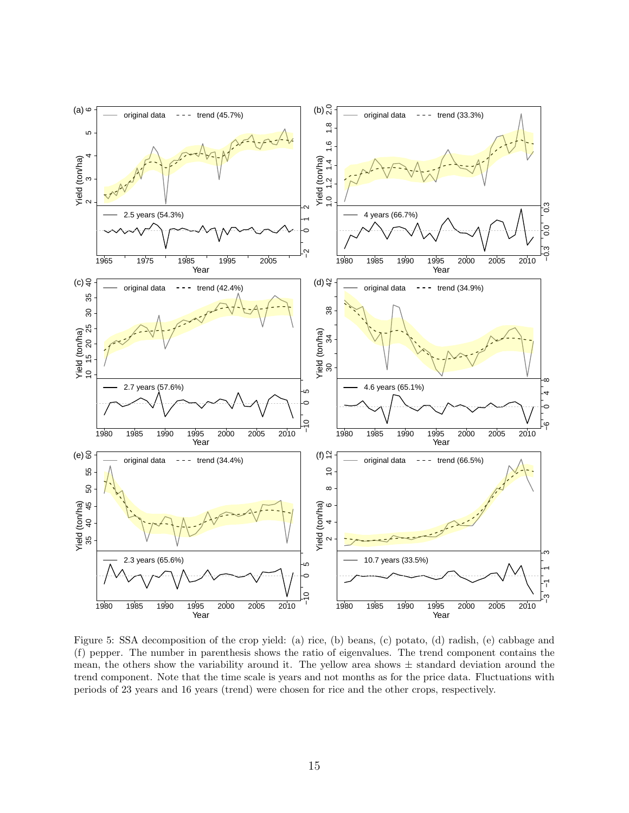

<span id="page-14-0"></span>Figure 5: SSA decomposition of the crop yield: (a) rice, (b) beans, (c) potato, (d) radish, (e) cabbage and (f) pepper. The number in parenthesis shows the ratio of eigenvalues. The trend component contains the mean, the others show the variability around it. The yellow area shows  $\pm$  standard deviation around the trend component. Note that the time scale is years and not months as for the price data. Fluctuations with periods of 23 years and 16 years (trend) were chosen for rice and the other crops, respectively.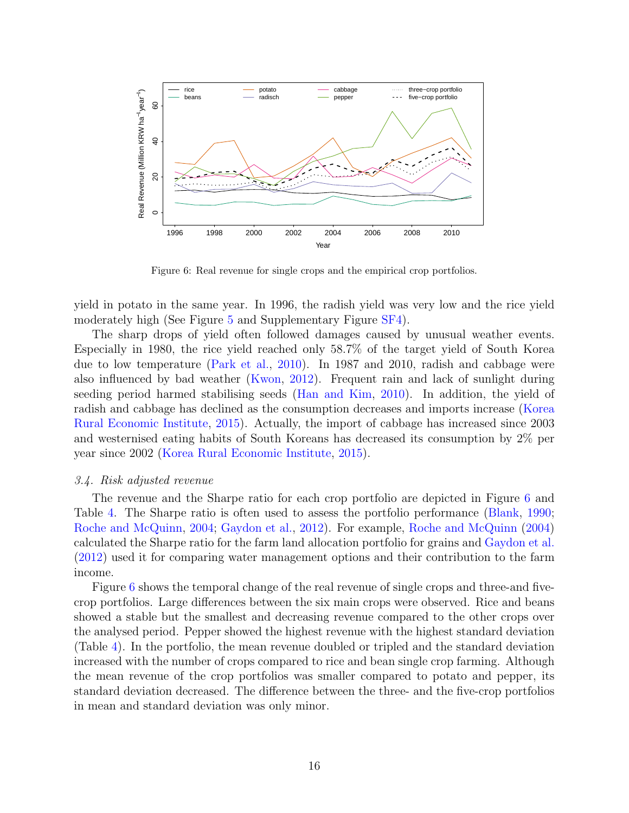

<span id="page-15-0"></span>Figure 6: Real revenue for single crops and the empirical crop portfolios.

yield in potato in the same year. In 1996, the radish yield was very low and the rice yield moderately high (See Figure [5](#page-14-0) and Supplementary Figure [SF4\)](#page-13-0).

The sharp drops of yield often followed damages caused by unusual weather events. Especially in 1980, the rice yield reached only 58.7% of the target yield of South Korea due to low temperature [\(Park et al.,](#page-25-8) [2010\)](#page-25-8). In 1987 and 2010, radish and cabbage were also influenced by bad weather [\(Kwon,](#page-24-8) [2012\)](#page-24-8). Frequent rain and lack of sunlight during seeding period harmed stabilising seeds [\(Han and Kim,](#page-22-11) [2010\)](#page-22-11). In addition, the yield of radish and cabbage has declined as the consumption decreases and imports increase [\(Korea](#page-23-12) [Rural Economic Institute,](#page-23-12) [2015\)](#page-23-12). Actually, the import of cabbage has increased since 2003 and westernised eating habits of South Koreans has decreased its consumption by 2% per year since 2002 [\(Korea Rural Economic Institute,](#page-23-12) [2015\)](#page-23-12).

## 3.4. Risk adjusted revenue

The revenue and the Sharpe ratio for each crop portfolio are depicted in Figure [6](#page-15-0) and Table [4.](#page-16-0) The Sharpe ratio is often used to assess the portfolio performance [\(Blank,](#page-20-5) [1990;](#page-20-5) [Roche and McQuinn,](#page-25-9) [2004;](#page-25-9) [Gaydon et al.,](#page-22-12) [2012\)](#page-22-12). For example, [Roche and McQuinn](#page-25-9) [\(2004\)](#page-25-9) calculated the Sharpe ratio for the farm land allocation portfolio for grains and [Gaydon et al.](#page-22-12) [\(2012\)](#page-22-12) used it for comparing water management options and their contribution to the farm income.

Figure [6](#page-15-0) shows the temporal change of the real revenue of single crops and three-and fivecrop portfolios. Large differences between the six main crops were observed. Rice and beans showed a stable but the smallest and decreasing revenue compared to the other crops over the analysed period. Pepper showed the highest revenue with the highest standard deviation (Table [4\)](#page-16-0). In the portfolio, the mean revenue doubled or tripled and the standard deviation increased with the number of crops compared to rice and bean single crop farming. Although the mean revenue of the crop portfolios was smaller compared to potato and pepper, its standard deviation decreased. The difference between the three- and the five-crop portfolios in mean and standard deviation was only minor.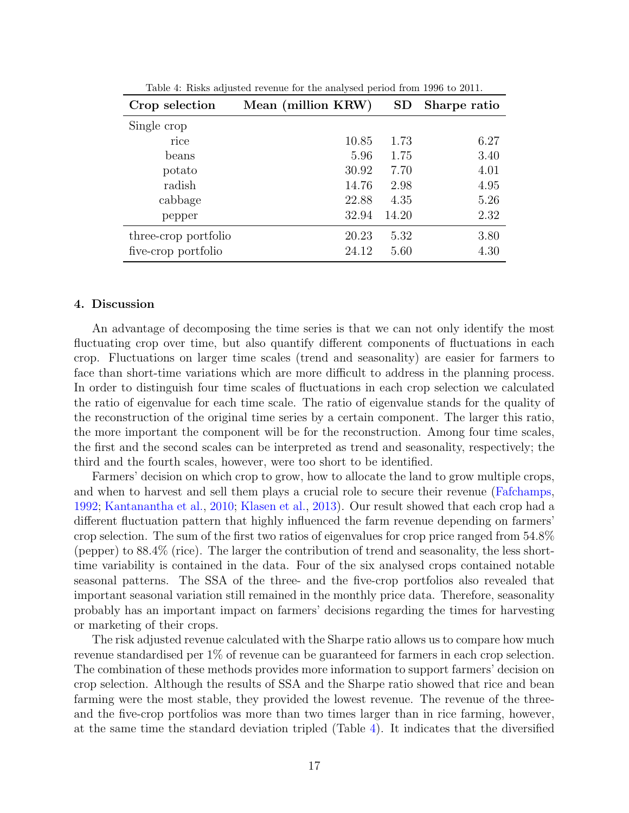| Crop selection       | Mean (million KRW) | SD    | Sharpe ratio |
|----------------------|--------------------|-------|--------------|
| Single crop          |                    |       |              |
| rice                 | 10.85              | 1.73  | 6.27         |
| beans                | 5.96               | 1.75  | 3.40         |
| potato               | 30.92              | 7.70  | 4.01         |
| radish               | 14.76              | 2.98  | 4.95         |
| cabbage              | 22.88              | 4.35  | 5.26         |
| pepper               | 32.94              | 14.20 | 2.32         |
| three-crop portfolio | 20.23              | 5.32  | 3.80         |
| five-crop portfolio  | 24.12              | 5.60  | 4.30         |

<span id="page-16-0"></span>Table 4: Risks adjusted revenue for the analysed period from 1996 to 2011.

# 4. Discussion

An advantage of decomposing the time series is that we can not only identify the most fluctuating crop over time, but also quantify different components of fluctuations in each crop. Fluctuations on larger time scales (trend and seasonality) are easier for farmers to face than short-time variations which are more difficult to address in the planning process. In order to distinguish four time scales of fluctuations in each crop selection we calculated the ratio of eigenvalue for each time scale. The ratio of eigenvalue stands for the quality of the reconstruction of the original time series by a certain component. The larger this ratio, the more important the component will be for the reconstruction. Among four time scales, the first and the second scales can be interpreted as trend and seasonality, respectively; the third and the fourth scales, however, were too short to be identified.

Farmers' decision on which crop to grow, how to allocate the land to grow multiple crops, and when to harvest and sell them plays a crucial role to secure their revenue [\(Fafchamps,](#page-21-12) [1992;](#page-21-12) [Kantanantha et al.,](#page-23-13) [2010;](#page-23-13) [Klasen et al.,](#page-23-1) [2013\)](#page-23-1). Our result showed that each crop had a different fluctuation pattern that highly influenced the farm revenue depending on farmers' crop selection. The sum of the first two ratios of eigenvalues for crop price ranged from 54.8% (pepper) to 88.4% (rice). The larger the contribution of trend and seasonality, the less shorttime variability is contained in the data. Four of the six analysed crops contained notable seasonal patterns. The SSA of the three- and the five-crop portfolios also revealed that important seasonal variation still remained in the monthly price data. Therefore, seasonality probably has an important impact on farmers' decisions regarding the times for harvesting or marketing of their crops.

The risk adjusted revenue calculated with the Sharpe ratio allows us to compare how much revenue standardised per 1% of revenue can be guaranteed for farmers in each crop selection. The combination of these methods provides more information to support farmers' decision on crop selection. Although the results of SSA and the Sharpe ratio showed that rice and bean farming were the most stable, they provided the lowest revenue. The revenue of the threeand the five-crop portfolios was more than two times larger than in rice farming, however, at the same time the standard deviation tripled (Table [4\)](#page-16-0). It indicates that the diversified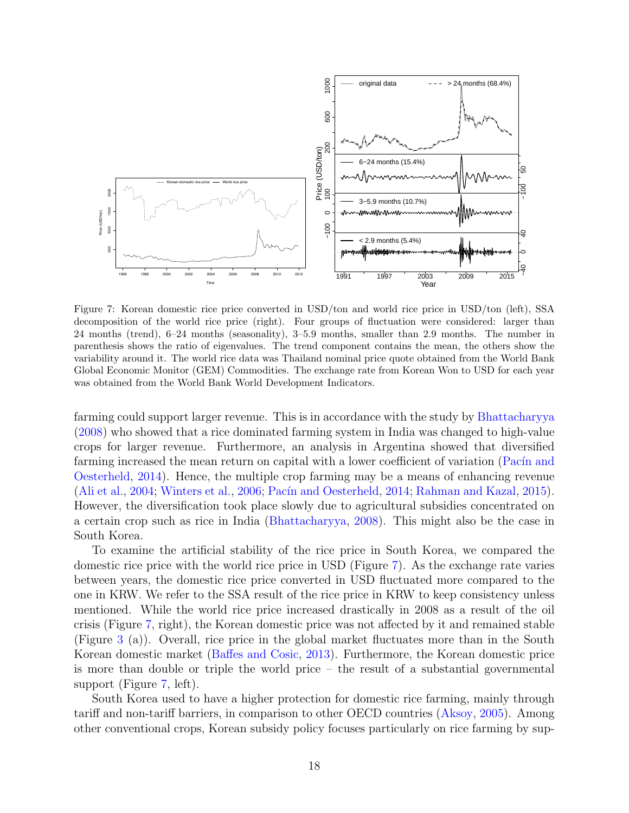

<span id="page-17-0"></span>Figure 7: Korean domestic rice price converted in USD/ton and world rice price in USD/ton (left), SSA decomposition of the world rice price (right). Four groups of fluctuation were considered: larger than 24 months (trend), 6–24 months (seasonality), 3–5.9 months, smaller than 2.9 months. The number in parenthesis shows the ratio of eigenvalues. The trend component contains the mean, the others show the variability around it. The world rice data was Thailand nominal price quote obtained from the World Bank Global Economic Monitor (GEM) Commodities. The exchange rate from Korean Won to USD for each year was obtained from the World Bank World Development Indicators.

farming could support larger revenue. This is in accordance with the study by [Bhattacharyya](#page-20-4) [\(2008\)](#page-20-4) who showed that a rice dominated farming system in India was changed to high-value crops for larger revenue. Furthermore, an analysis in Argentina showed that diversified farming increased the mean return on capital with a lower coefficient of variation (Pacín and [Oesterheld,](#page-24-9) [2014\)](#page-24-9). Hence, the multiple crop farming may be a means of enhancing revenue [\(Ali et al.,](#page-19-0) [2004;](#page-19-0) [Winters et al.,](#page-26-9) [2006;](#page-26-9) Pacín and Oesterheld, [2014;](#page-24-9) [Rahman and Kazal,](#page-25-10) [2015\)](#page-25-10). However, the diversification took place slowly due to agricultural subsidies concentrated on a certain crop such as rice in India [\(Bhattacharyya,](#page-20-4) [2008\)](#page-20-4). This might also be the case in South Korea.

To examine the artificial stability of the rice price in South Korea, we compared the domestic rice price with the world rice price in USD (Figure [7\)](#page-17-0). As the exchange rate varies between years, the domestic rice price converted in USD fluctuated more compared to the one in KRW. We refer to the SSA result of the rice price in KRW to keep consistency unless mentioned. While the world rice price increased drastically in 2008 as a result of the oil crisis (Figure [7,](#page-17-0) right), the Korean domestic price was not affected by it and remained stable (Figure [3](#page-12-0) (a)). Overall, rice price in the global market fluctuates more than in the South Korean domestic market [\(Baffes and Cosic,](#page-20-12) [2013\)](#page-20-12). Furthermore, the Korean domestic price is more than double or triple the world price – the result of a substantial governmental support (Figure [7,](#page-17-0) left).

South Korea used to have a higher protection for domestic rice farming, mainly through tariff and non-tariff barriers, in comparison to other OECD countries [\(Aksoy,](#page-19-1) [2005\)](#page-19-1). Among other conventional crops, Korean subsidy policy focuses particularly on rice farming by sup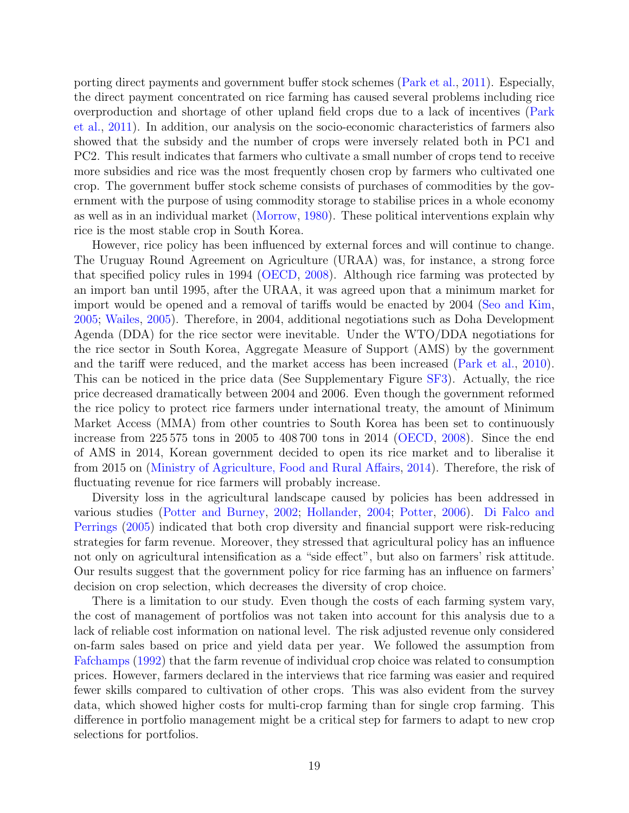porting direct payments and government buffer stock schemes [\(Park et al.,](#page-25-11) [2011\)](#page-25-11). Especially, the direct payment concentrated on rice farming has caused several problems including rice overproduction and shortage of other upland field crops due to a lack of incentives [\(Park](#page-25-11) [et al.,](#page-25-11) [2011\)](#page-25-11). In addition, our analysis on the socio-economic characteristics of farmers also showed that the subsidy and the number of crops were inversely related both in PC1 and PC2. This result indicates that farmers who cultivate a small number of crops tend to receive more subsidies and rice was the most frequently chosen crop by farmers who cultivated one crop. The government buffer stock scheme consists of purchases of commodities by the government with the purpose of using commodity storage to stabilise prices in a whole economy as well as in an individual market [\(Morrow,](#page-24-10) [1980\)](#page-24-10). These political interventions explain why rice is the most stable crop in South Korea.

However, rice policy has been influenced by external forces and will continue to change. The Uruguay Round Agreement on Agriculture (URAA) was, for instance, a strong force that specified policy rules in 1994 [\(OECD,](#page-24-7) [2008\)](#page-24-7). Although rice farming was protected by an import ban until 1995, after the URAA, it was agreed upon that a minimum market for import would be opened and a removal of tariffs would be enacted by 2004 [\(Seo and Kim,](#page-26-10) [2005;](#page-26-10) [Wailes,](#page-26-11) [2005\)](#page-26-11). Therefore, in 2004, additional negotiations such as Doha Development Agenda (DDA) for the rice sector were inevitable. Under the WTO/DDA negotiations for the rice sector in South Korea, Aggregate Measure of Support (AMS) by the government and the tariff were reduced, and the market access has been increased [\(Park et al.,](#page-25-8) [2010\)](#page-25-8). This can be noticed in the price data (See Supplementary Figure [SF3\)](#page-12-0). Actually, the rice price decreased dramatically between 2004 and 2006. Even though the government reformed the rice policy to protect rice farmers under international treaty, the amount of Minimum Market Access (MMA) from other countries to South Korea has been set to continuously increase from 225 575 tons in 2005 to 408 700 tons in 2014 [\(OECD,](#page-24-7) [2008\)](#page-24-7). Since the end of AMS in 2014, Korean government decided to open its rice market and to liberalise it from 2015 on [\(Ministry of Agriculture, Food and Rural Affairs,](#page-24-11) [2014\)](#page-24-11). Therefore, the risk of fluctuating revenue for rice farmers will probably increase.

Diversity loss in the agricultural landscape caused by policies has been addressed in various studies [\(Potter and Burney,](#page-25-12) [2002;](#page-25-12) [Hollander,](#page-22-13) [2004;](#page-22-13) [Potter,](#page-25-13) [2006\)](#page-25-13). [Di Falco and](#page-21-5) [Perrings](#page-21-5) [\(2005\)](#page-21-5) indicated that both crop diversity and financial support were risk-reducing strategies for farm revenue. Moreover, they stressed that agricultural policy has an influence not only on agricultural intensification as a "side effect", but also on farmers' risk attitude. Our results suggest that the government policy for rice farming has an influence on farmers' decision on crop selection, which decreases the diversity of crop choice.

There is a limitation to our study. Even though the costs of each farming system vary, the cost of management of portfolios was not taken into account for this analysis due to a lack of reliable cost information on national level. The risk adjusted revenue only considered on-farm sales based on price and yield data per year. We followed the assumption from [Fafchamps](#page-21-12) [\(1992\)](#page-21-12) that the farm revenue of individual crop choice was related to consumption prices. However, farmers declared in the interviews that rice farming was easier and required fewer skills compared to cultivation of other crops. This was also evident from the survey data, which showed higher costs for multi-crop farming than for single crop farming. This difference in portfolio management might be a critical step for farmers to adapt to new crop selections for portfolios.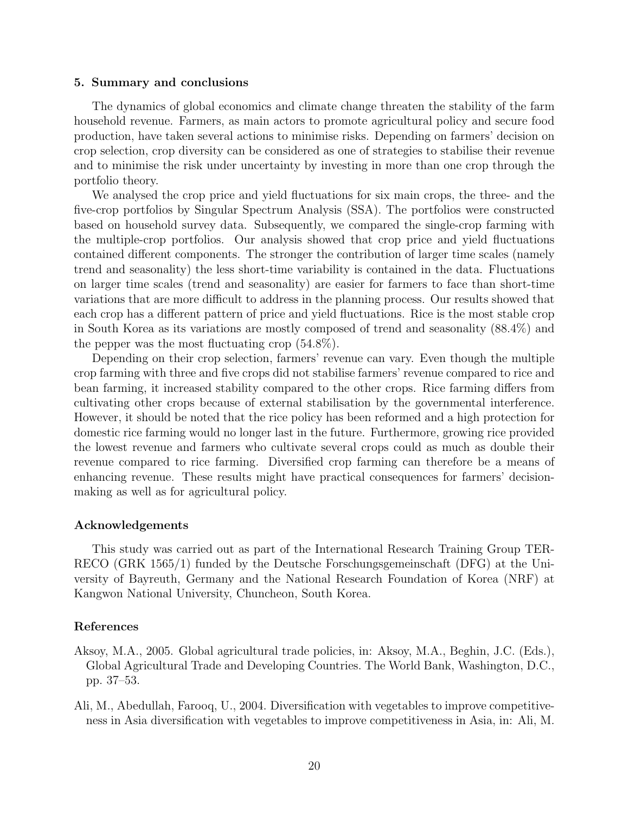## 5. Summary and conclusions

The dynamics of global economics and climate change threaten the stability of the farm household revenue. Farmers, as main actors to promote agricultural policy and secure food production, have taken several actions to minimise risks. Depending on farmers' decision on crop selection, crop diversity can be considered as one of strategies to stabilise their revenue and to minimise the risk under uncertainty by investing in more than one crop through the portfolio theory.

We analysed the crop price and yield fluctuations for six main crops, the three- and the five-crop portfolios by Singular Spectrum Analysis (SSA). The portfolios were constructed based on household survey data. Subsequently, we compared the single-crop farming with the multiple-crop portfolios. Our analysis showed that crop price and yield fluctuations contained different components. The stronger the contribution of larger time scales (namely trend and seasonality) the less short-time variability is contained in the data. Fluctuations on larger time scales (trend and seasonality) are easier for farmers to face than short-time variations that are more difficult to address in the planning process. Our results showed that each crop has a different pattern of price and yield fluctuations. Rice is the most stable crop in South Korea as its variations are mostly composed of trend and seasonality (88.4%) and the pepper was the most fluctuating crop (54.8%).

Depending on their crop selection, farmers' revenue can vary. Even though the multiple crop farming with three and five crops did not stabilise farmers' revenue compared to rice and bean farming, it increased stability compared to the other crops. Rice farming differs from cultivating other crops because of external stabilisation by the governmental interference. However, it should be noted that the rice policy has been reformed and a high protection for domestic rice farming would no longer last in the future. Furthermore, growing rice provided the lowest revenue and farmers who cultivate several crops could as much as double their revenue compared to rice farming. Diversified crop farming can therefore be a means of enhancing revenue. These results might have practical consequences for farmers' decisionmaking as well as for agricultural policy.

# Acknowledgements

This study was carried out as part of the International Research Training Group TER-RECO (GRK 1565/1) funded by the Deutsche Forschungsgemeinschaft (DFG) at the University of Bayreuth, Germany and the National Research Foundation of Korea (NRF) at Kangwon National University, Chuncheon, South Korea.

# References

- <span id="page-19-1"></span>Aksoy, M.A., 2005. Global agricultural trade policies, in: Aksoy, M.A., Beghin, J.C. (Eds.), Global Agricultural Trade and Developing Countries. The World Bank, Washington, D.C., pp. 37–53.
- <span id="page-19-0"></span>Ali, M., Abedullah, Farooq, U., 2004. Diversification with vegetables to improve competitiveness in Asia diversification with vegetables to improve competitiveness in Asia, in: Ali, M.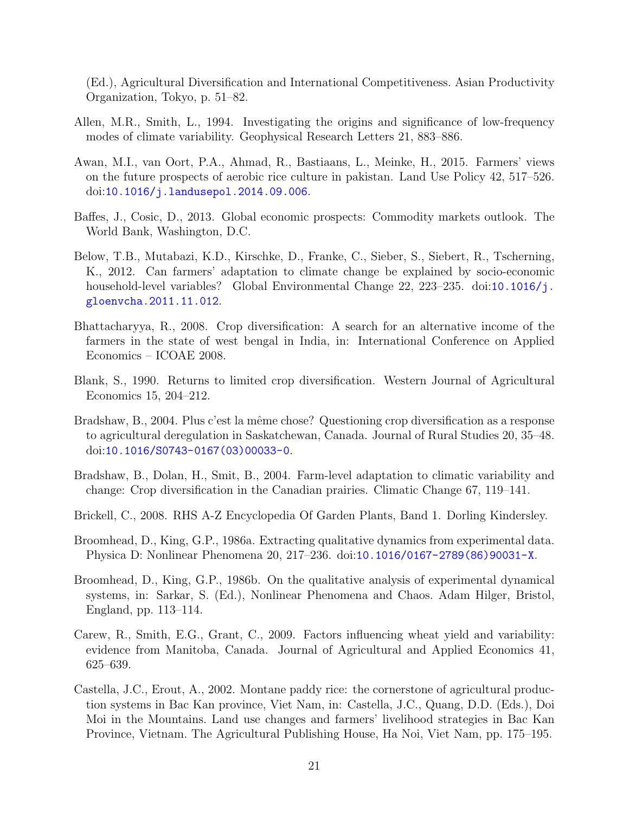(Ed.), Agricultural Diversification and International Competitiveness. Asian Productivity Organization, Tokyo, p. 51–82.

- <span id="page-20-7"></span>Allen, M.R., Smith, L., 1994. Investigating the origins and significance of low-frequency modes of climate variability. Geophysical Research Letters 21, 883–886.
- <span id="page-20-3"></span>Awan, M.I., van Oort, P.A., Ahmad, R., Bastiaans, L., Meinke, H., 2015. Farmers' views on the future prospects of aerobic rice culture in pakistan. Land Use Policy 42, 517–526. doi:[10.1016/j.landusepol.2014.09.006](http://dx.doi.org/10.1016/j.landusepol.2014.09.006).
- <span id="page-20-12"></span>Baffes, J., Cosic, D., 2013. Global economic prospects: Commodity markets outlook. The World Bank, Washington, D.C.
- <span id="page-20-2"></span>Below, T.B., Mutabazi, K.D., Kirschke, D., Franke, C., Sieber, S., Siebert, R., Tscherning, K., 2012. Can farmers' adaptation to climate change be explained by socio-economic household-level variables? Global Environmental Change 22, 223–235. doi:[10.1016/j.](http://dx.doi.org/10.1016/j.gloenvcha.2011.11.012) [gloenvcha.2011.11.012](http://dx.doi.org/10.1016/j.gloenvcha.2011.11.012).
- <span id="page-20-4"></span>Bhattacharyya, R., 2008. Crop diversification: A search for an alternative income of the farmers in the state of west bengal in India, in: International Conference on Applied Economics – ICOAE 2008.
- <span id="page-20-5"></span>Blank, S., 1990. Returns to limited crop diversification. Western Journal of Agricultural Economics 15, 204–212.
- <span id="page-20-1"></span>Bradshaw, B., 2004. Plus c'est la même chose? Questioning crop diversification as a response to agricultural deregulation in Saskatchewan, Canada. Journal of Rural Studies 20, 35–48. doi:[10.1016/S0743-0167\(03\)00033-0](http://dx.doi.org/10.1016/S0743-0167(03)00033-0).
- <span id="page-20-0"></span>Bradshaw, B., Dolan, H., Smit, B., 2004. Farm-level adaptation to climatic variability and change: Crop diversification in the Canadian prairies. Climatic Change 67, 119–141.
- <span id="page-20-9"></span>Brickell, C., 2008. RHS A-Z Encyclopedia Of Garden Plants, Band 1. Dorling Kindersley.
- <span id="page-20-10"></span>Broomhead, D., King, G.P., 1986a. Extracting qualitative dynamics from experimental data. Physica D: Nonlinear Phenomena 20, 217–236. doi:[10.1016/0167-2789\(86\)90031-X](http://dx.doi.org/10.1016/0167-2789(86)90031-X).
- <span id="page-20-11"></span>Broomhead, D., King, G.P., 1986b. On the qualitative analysis of experimental dynamical systems, in: Sarkar, S. (Ed.), Nonlinear Phenomena and Chaos. Adam Hilger, Bristol, England, pp. 113–114.
- <span id="page-20-6"></span>Carew, R., Smith, E.G., Grant, C., 2009. Factors influencing wheat yield and variability: evidence from Manitoba, Canada. Journal of Agricultural and Applied Economics 41, 625–639.
- <span id="page-20-8"></span>Castella, J.C., Erout, A., 2002. Montane paddy rice: the cornerstone of agricultural production systems in Bac Kan province, Viet Nam, in: Castella, J.C., Quang, D.D. (Eds.), Doi Moi in the Mountains. Land use changes and farmers' livelihood strategies in Bac Kan Province, Vietnam. The Agricultural Publishing House, Ha Noi, Viet Nam, pp. 175–195.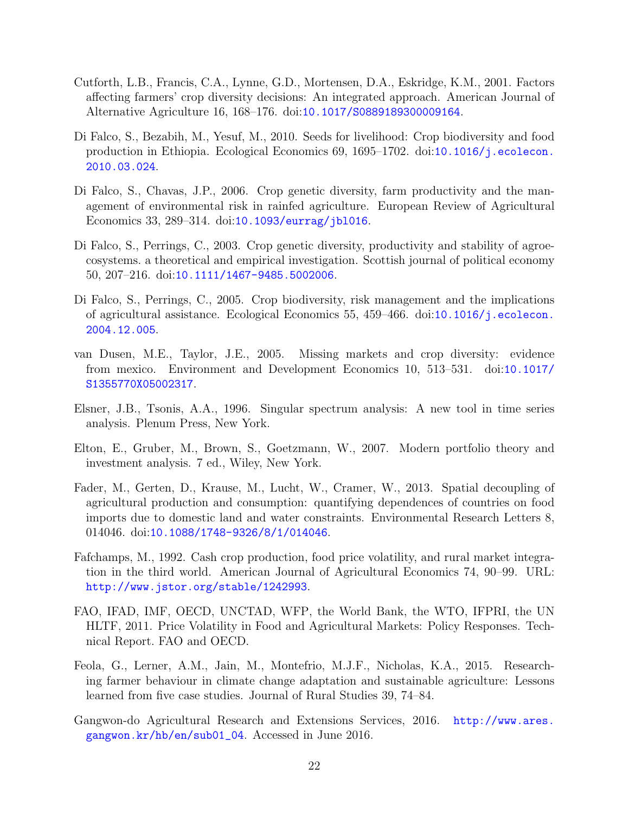- <span id="page-21-4"></span>Cutforth, L.B., Francis, C.A., Lynne, G.D., Mortensen, D.A., Eskridge, K.M., 2001. Factors affecting farmers' crop diversity decisions: An integrated approach. American Journal of Alternative Agriculture 16, 168–176. doi:[10.1017/S0889189300009164](http://dx.doi.org/10.1017/S0889189300009164).
- <span id="page-21-8"></span>Di Falco, S., Bezabih, M., Yesuf, M., 2010. Seeds for livelihood: Crop biodiversity and food production in Ethiopia. Ecological Economics 69, 1695–1702. doi:[10.1016/j.ecolecon.](http://dx.doi.org/10.1016/j.ecolecon.2010.03.024) [2010.03.024](http://dx.doi.org/10.1016/j.ecolecon.2010.03.024).
- <span id="page-21-7"></span>Di Falco, S., Chavas, J.P., 2006. Crop genetic diversity, farm productivity and the management of environmental risk in rainfed agriculture. European Review of Agricultural Economics 33, 289–314. doi:[10.1093/eurrag/jbl016](http://dx.doi.org/10.1093/eurrag/jbl016).
- <span id="page-21-6"></span>Di Falco, S., Perrings, C., 2003. Crop genetic diversity, productivity and stability of agroecosystems. a theoretical and empirical investigation. Scottish journal of political economy 50, 207–216. doi:[10.1111/1467-9485.5002006](http://dx.doi.org/10.1111/1467-9485.5002006).
- <span id="page-21-5"></span>Di Falco, S., Perrings, C., 2005. Crop biodiversity, risk management and the implications of agricultural assistance. Ecological Economics 55, 459–466. doi:[10.1016/j.ecolecon.](http://dx.doi.org/10.1016/j.ecolecon.2004.12.005) [2004.12.005](http://dx.doi.org/10.1016/j.ecolecon.2004.12.005).
- <span id="page-21-3"></span>van Dusen, M.E., Taylor, J.E., 2005. Missing markets and crop diversity: evidence from mexico. Environment and Development Economics 10, 513–531. doi:[10.1017/](http://dx.doi.org/10.1017/S1355770X05002317) [S1355770X05002317](http://dx.doi.org/10.1017/S1355770X05002317).
- <span id="page-21-9"></span>Elsner, J.B., Tsonis, A.A., 1996. Singular spectrum analysis: A new tool in time series analysis. Plenum Press, New York.
- <span id="page-21-11"></span>Elton, E., Gruber, M., Brown, S., Goetzmann, W., 2007. Modern portfolio theory and investment analysis. 7 ed., Wiley, New York.
- <span id="page-21-0"></span>Fader, M., Gerten, D., Krause, M., Lucht, W., Cramer, W., 2013. Spatial decoupling of agricultural production and consumption: quantifying dependences of countries on food imports due to domestic land and water constraints. Environmental Research Letters 8, 014046. doi:[10.1088/1748-9326/8/1/014046](http://dx.doi.org/10.1088/1748-9326/8/1/014046).
- <span id="page-21-12"></span>Fafchamps, M., 1992. Cash crop production, food price volatility, and rural market integration in the third world. American Journal of Agricultural Economics 74, 90–99. URL: <http://www.jstor.org/stable/1242993>.
- <span id="page-21-2"></span>FAO, IFAD, IMF, OECD, UNCTAD, WFP, the World Bank, the WTO, IFPRI, the UN HLTF, 2011. Price Volatility in Food and Agricultural Markets: Policy Responses. Technical Report. FAO and OECD.
- <span id="page-21-1"></span>Feola, G., Lerner, A.M., Jain, M., Montefrio, M.J.F., Nicholas, K.A., 2015. Researching farmer behaviour in climate change adaptation and sustainable agriculture: Lessons learned from five case studies. Journal of Rural Studies 39, 74–84.
- <span id="page-21-10"></span>Gangwon-do Agricultural Research and Extensions Services, 2016. [http://www.ares.](http://www.ares.gangwon.kr/hb/en/sub01_04) [gangwon.kr/hb/en/sub01\\_04](http://www.ares.gangwon.kr/hb/en/sub01_04). Accessed in June 2016.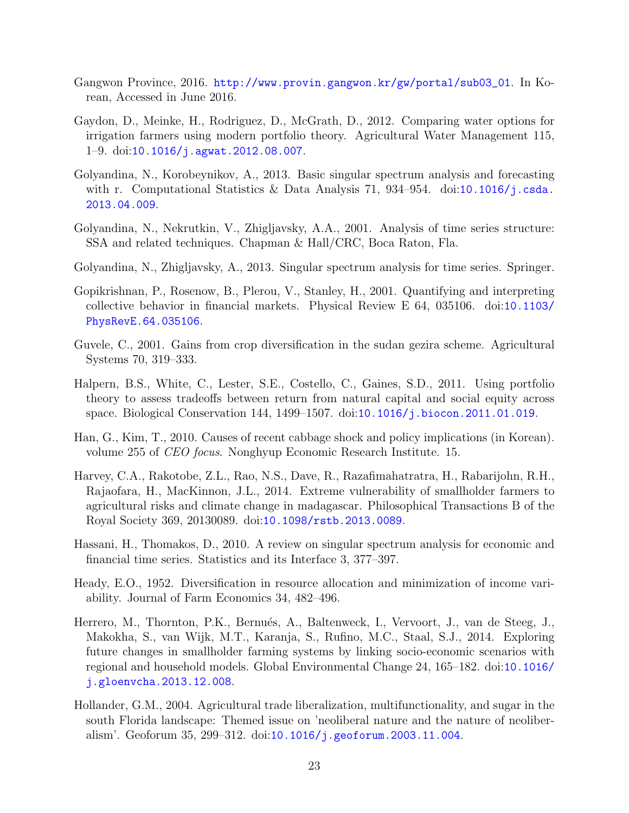- <span id="page-22-8"></span>Gangwon Province, 2016. [http://www.provin.gangwon.kr/gw/portal/sub03\\_01](http://www.provin.gangwon.kr/gw/portal/sub03_01). In Korean, Accessed in June 2016.
- <span id="page-22-12"></span>Gaydon, D., Meinke, H., Rodriguez, D., McGrath, D., 2012. Comparing water options for irrigation farmers using modern portfolio theory. Agricultural Water Management 115, 1–9. doi:[10.1016/j.agwat.2012.08.007](http://dx.doi.org/10.1016/j.agwat.2012.08.007).
- <span id="page-22-10"></span>Golyandina, N., Korobeynikov, A., 2013. Basic singular spectrum analysis and forecasting with r. Computational Statistics & Data Analysis 71, 934–954. doi:[10.1016/j.csda.](http://dx.doi.org/10.1016/j.csda.2013.04.009) [2013.04.009](http://dx.doi.org/10.1016/j.csda.2013.04.009).
- <span id="page-22-6"></span>Golyandina, N., Nekrutkin, V., Zhigljavsky, A.A., 2001. Analysis of time series structure: SSA and related techniques. Chapman & Hall/CRC, Boca Raton, Fla.
- <span id="page-22-9"></span>Golyandina, N., Zhigljavsky, A., 2013. Singular spectrum analysis for time series. Springer.
- <span id="page-22-5"></span>Gopikrishnan, P., Rosenow, B., Plerou, V., Stanley, H., 2001. Quantifying and interpreting collective behavior in financial markets. Physical Review E 64, 035106. doi:[10.1103/](http://dx.doi.org/10.1103/PhysRevE.64.035106) [PhysRevE.64.035106](http://dx.doi.org/10.1103/PhysRevE.64.035106).
- <span id="page-22-4"></span>Guvele, C., 2001. Gains from crop diversification in the sudan gezira scheme. Agricultural Systems 70, 319–333.
- <span id="page-22-3"></span>Halpern, B.S., White, C., Lester, S.E., Costello, C., Gaines, S.D., 2011. Using portfolio theory to assess tradeoffs between return from natural capital and social equity across space. Biological Conservation 144, 1499–1507. doi:[10.1016/j.biocon.2011.01.019](http://dx.doi.org/10.1016/j.biocon.2011.01.019).
- <span id="page-22-11"></span>Han, G., Kim, T., 2010. Causes of recent cabbage shock and policy implications (in Korean). volume 255 of CEO focus. Nonghyup Economic Research Institute. 15.
- <span id="page-22-0"></span>Harvey, C.A., Rakotobe, Z.L., Rao, N.S., Dave, R., Razafimahatratra, H., Rabarijohn, R.H., Rajaofara, H., MacKinnon, J.L., 2014. Extreme vulnerability of smallholder farmers to agricultural risks and climate change in madagascar. Philosophical Transactions B of the Royal Society 369, 20130089. doi:[10.1098/rstb.2013.0089](http://dx.doi.org/10.1098/rstb.2013.0089).
- <span id="page-22-7"></span>Hassani, H., Thomakos, D., 2010. A review on singular spectrum analysis for economic and financial time series. Statistics and its Interface 3, 377–397.
- <span id="page-22-2"></span>Heady, E.O., 1952. Diversification in resource allocation and minimization of income variability. Journal of Farm Economics 34, 482–496.
- <span id="page-22-1"></span>Herrero, M., Thornton, P.K., Bernués, A., Baltenweck, I., Vervoort, J., van de Steeg, J., Makokha, S., van Wijk, M.T., Karanja, S., Rufino, M.C., Staal, S.J., 2014. Exploring future changes in smallholder farming systems by linking socio-economic scenarios with regional and household models. Global Environmental Change 24, 165–182. doi:[10.1016/](http://dx.doi.org/10.1016/j.gloenvcha.2013.12.008) [j.gloenvcha.2013.12.008](http://dx.doi.org/10.1016/j.gloenvcha.2013.12.008).
- <span id="page-22-13"></span>Hollander, G.M., 2004. Agricultural trade liberalization, multifunctionality, and sugar in the south Florida landscape: Themed issue on 'neoliberal nature and the nature of neoliberalism'. Geoforum 35, 299–312. doi:[10.1016/j.geoforum.2003.11.004](http://dx.doi.org/10.1016/j.geoforum.2003.11.004).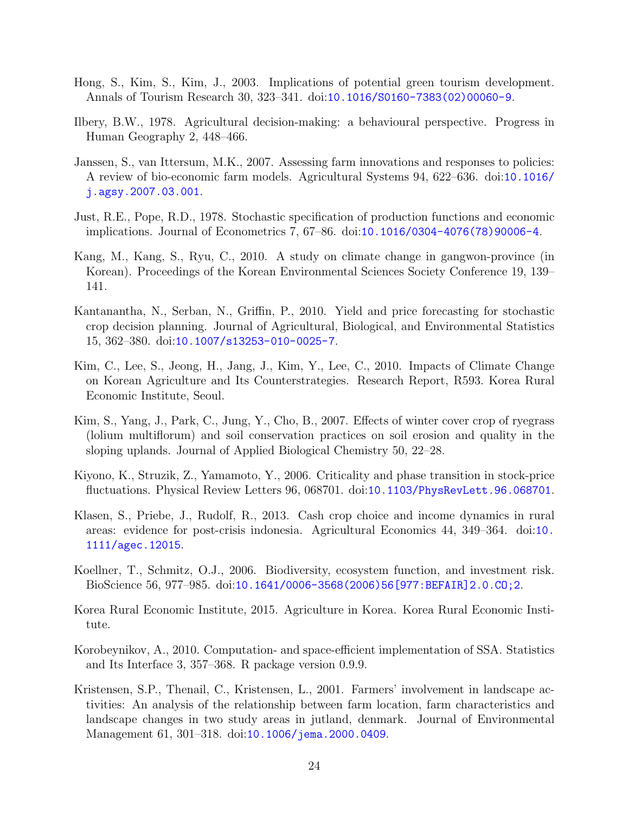- <span id="page-23-8"></span>Hong, S., Kim, S., Kim, J., 2003. Implications of potential green tourism development. Annals of Tourism Research 30, 323–341. doi:[10.1016/S0160-7383\(02\)00060-9](http://dx.doi.org/10.1016/S0160-7383(02)00060-9).
- <span id="page-23-3"></span>Ilbery, B.W., 1978. Agricultural decision-making: a behavioural perspective. Progress in Human Geography 2, 448–466.
- <span id="page-23-0"></span>Janssen, S., van Ittersum, M.K., 2007. Assessing farm innovations and responses to policies: A review of bio-economic farm models. Agricultural Systems 94, 622–636. doi:[10.1016/](http://dx.doi.org/10.1016/j.agsy.2007.03.001) [j.agsy.2007.03.001](http://dx.doi.org/10.1016/j.agsy.2007.03.001).
- <span id="page-23-5"></span>Just, R.E., Pope, R.D., 1978. Stochastic specification of production functions and economic implications. Journal of Econometrics 7, 67–86. doi:[10.1016/0304-4076\(78\)90006-4](http://dx.doi.org/10.1016/0304-4076(78)90006-4).
- <span id="page-23-7"></span>Kang, M., Kang, S., Ryu, C., 2010. A study on climate change in gangwon-province (in Korean). Proceedings of the Korean Environmental Sciences Society Conference 19, 139– 141.
- <span id="page-23-13"></span>Kantanantha, N., Serban, N., Griffin, P., 2010. Yield and price forecasting for stochastic crop decision planning. Journal of Agricultural, Biological, and Environmental Statistics 15, 362–380. doi:[10.1007/s13253-010-0025-7](http://dx.doi.org/10.1007/s13253-010-0025-7).
- <span id="page-23-10"></span>Kim, C., Lee, S., Jeong, H., Jang, J., Kim, Y., Lee, C., 2010. Impacts of Climate Change on Korean Agriculture and Its Counterstrategies. Research Report, R593. Korea Rural Economic Institute, Seoul.
- <span id="page-23-9"></span>Kim, S., Yang, J., Park, C., Jung, Y., Cho, B., 2007. Effects of winter cover crop of ryegrass (lolium multiflorum) and soil conservation practices on soil erosion and quality in the sloping uplands. Journal of Applied Biological Chemistry 50, 22–28.
- <span id="page-23-6"></span>Kiyono, K., Struzik, Z., Yamamoto, Y., 2006. Criticality and phase transition in stock-price fluctuations. Physical Review Letters 96, 068701. doi:[10.1103/PhysRevLett.96.068701](http://dx.doi.org/10.1103/PhysRevLett.96.068701).
- <span id="page-23-1"></span>Klasen, S., Priebe, J., Rudolf, R., 2013. Cash crop choice and income dynamics in rural areas: evidence for post-crisis indonesia. Agricultural Economics 44, 349–364. doi:[10.](http://dx.doi.org/10.1111/agec.12015) [1111/agec.12015](http://dx.doi.org/10.1111/agec.12015).
- <span id="page-23-4"></span>Koellner, T., Schmitz, O.J., 2006. Biodiversity, ecosystem function, and investment risk. BioScience 56, 977–985. doi:[10.1641/0006-3568\(2006\)56\[977:BEFAIR\]2.0.CO;2](http://dx.doi.org/10.1641/0006-3568(2006)56[977:BEFAIR]2.0.CO;2).
- <span id="page-23-12"></span>Korea Rural Economic Institute, 2015. Agriculture in Korea. Korea Rural Economic Institute.
- <span id="page-23-11"></span>Korobeynikov, A., 2010. Computation- and space-efficient implementation of SSA. Statistics and Its Interface 3, 357–368. R package version 0.9.9.
- <span id="page-23-2"></span>Kristensen, S.P., Thenail, C., Kristensen, L., 2001. Farmers' involvement in landscape activities: An analysis of the relationship between farm location, farm characteristics and landscape changes in two study areas in jutland, denmark. Journal of Environmental Management 61, 301–318. doi:[10.1006/jema.2000.0409](http://dx.doi.org/10.1006/jema.2000.0409).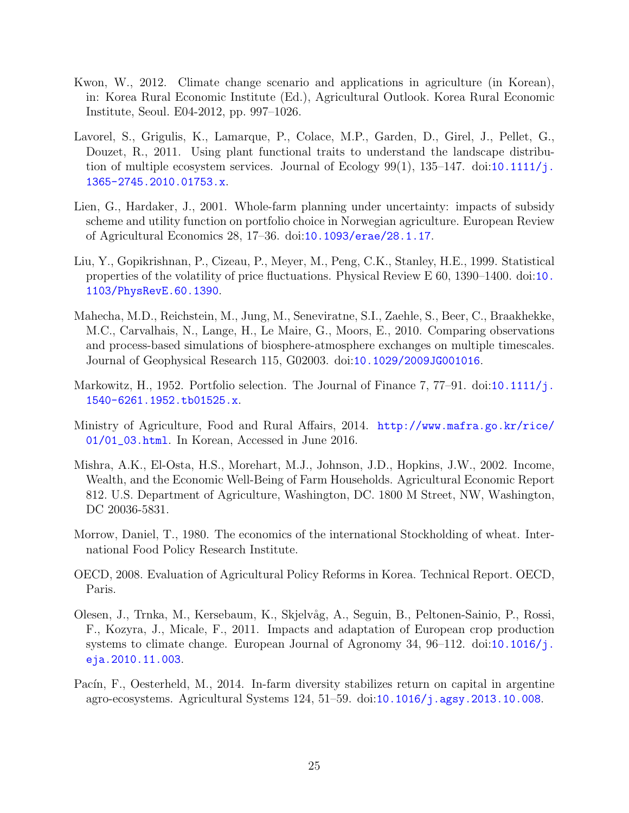- <span id="page-24-8"></span>Kwon, W., 2012. Climate change scenario and applications in agriculture (in Korean), in: Korea Rural Economic Institute (Ed.), Agricultural Outlook. Korea Rural Economic Institute, Seoul. E04-2012, pp. 997–1026.
- <span id="page-24-5"></span>Lavorel, S., Grigulis, K., Lamarque, P., Colace, M.P., Garden, D., Girel, J., Pellet, G., Douzet, R., 2011. Using plant functional traits to understand the landscape distribution of multiple ecosystem services. Journal of Ecology  $99(1)$ ,  $135-147$ . doi:[10.1111/j.](http://dx.doi.org/10.1111/j.1365-2745.2010.01753.x) [1365-2745.2010.01753.x](http://dx.doi.org/10.1111/j.1365-2745.2010.01753.x).
- <span id="page-24-3"></span>Lien, G., Hardaker, J., 2001. Whole-farm planning under uncertainty: impacts of subsidy scheme and utility function on portfolio choice in Norwegian agriculture. European Review of Agricultural Economics 28, 17–36. doi:[10.1093/erae/28.1.17](http://dx.doi.org/10.1093/erae/28.1.17).
- <span id="page-24-4"></span>Liu, Y., Gopikrishnan, P., Cizeau, P., Meyer, M., Peng, C.K., Stanley, H.E., 1999. Statistical properties of the volatility of price fluctuations. Physical Review E 60, 1390–1400. doi:[10.](http://dx.doi.org/10.1103/PhysRevE.60.1390) [1103/PhysRevE.60.1390](http://dx.doi.org/10.1103/PhysRevE.60.1390).
- <span id="page-24-6"></span>Mahecha, M.D., Reichstein, M., Jung, M., Seneviratne, S.I., Zaehle, S., Beer, C., Braakhekke, M.C., Carvalhais, N., Lange, H., Le Maire, G., Moors, E., 2010. Comparing observations and process-based simulations of biosphere-atmosphere exchanges on multiple timescales. Journal of Geophysical Research 115, G02003. doi:[10.1029/2009JG001016](http://dx.doi.org/10.1029/2009JG001016).
- <span id="page-24-2"></span>Markowitz, H., 1952. Portfolio selection. The Journal of Finance 7, 77–91. doi:[10.1111/j.](http://dx.doi.org/10.1111/j.1540-6261.1952.tb01525.x) [1540-6261.1952.tb01525.x](http://dx.doi.org/10.1111/j.1540-6261.1952.tb01525.x).
- <span id="page-24-11"></span>Ministry of Agriculture, Food and Rural Affairs, 2014. [http://www.mafra.go.kr/rice/](http://www.mafra.go.kr/rice/01/01_03.html) [01/01\\_03.html](http://www.mafra.go.kr/rice/01/01_03.html). In Korean, Accessed in June 2016.
- <span id="page-24-0"></span>Mishra, A.K., El-Osta, H.S., Morehart, M.J., Johnson, J.D., Hopkins, J.W., 2002. Income, Wealth, and the Economic Well-Being of Farm Households. Agricultural Economic Report 812. U.S. Department of Agriculture, Washington, DC. 1800 M Street, NW, Washington, DC 20036-5831.
- <span id="page-24-10"></span>Morrow, Daniel, T., 1980. The economics of the international Stockholding of wheat. International Food Policy Research Institute.
- <span id="page-24-7"></span>OECD, 2008. Evaluation of Agricultural Policy Reforms in Korea. Technical Report. OECD, Paris.
- <span id="page-24-1"></span>Olesen, J., Trnka, M., Kersebaum, K., Skjelvåg, A., Seguin, B., Peltonen-Sainio, P., Rossi, F., Kozyra, J., Micale, F., 2011. Impacts and adaptation of European crop production systems to climate change. European Journal of Agronomy 34, 96–112. doi:[10.1016/j.](http://dx.doi.org/10.1016/j.eja.2010.11.003) [eja.2010.11.003](http://dx.doi.org/10.1016/j.eja.2010.11.003).
- <span id="page-24-9"></span>Pacín, F., Oesterheld, M., 2014. In-farm diversity stabilizes return on capital in argentine agro-ecosystems. Agricultural Systems 124, 51–59. doi:[10.1016/j.agsy.2013.10.008](http://dx.doi.org/10.1016/j.agsy.2013.10.008).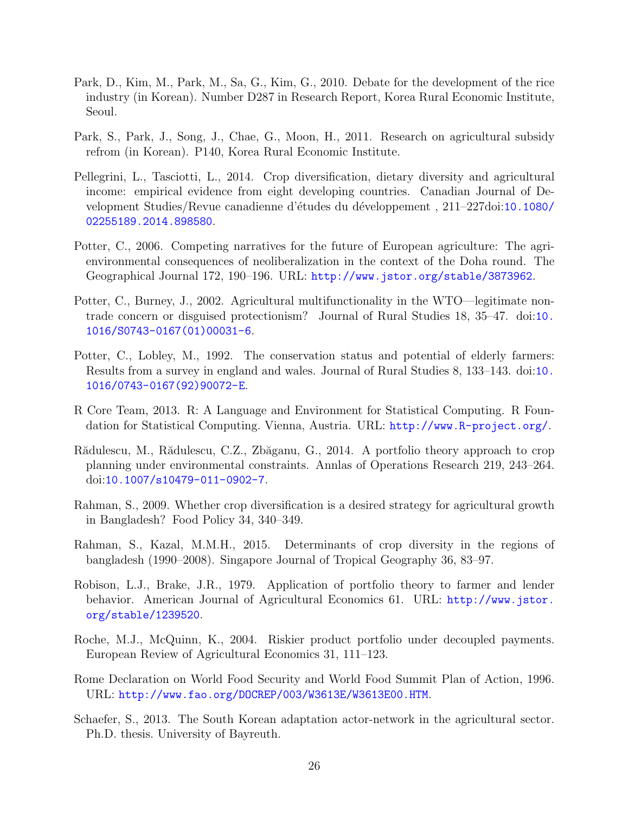- <span id="page-25-8"></span>Park, D., Kim, M., Park, M., Sa, G., Kim, G., 2010. Debate for the development of the rice industry (in Korean). Number D287 in Research Report, Korea Rural Economic Institute, Seoul.
- <span id="page-25-11"></span>Park, S., Park, J., Song, J., Chae, G., Moon, H., 2011. Research on agricultural subsidy refrom (in Korean). P140, Korea Rural Economic Institute.
- <span id="page-25-3"></span>Pellegrini, L., Tasciotti, L., 2014. Crop diversification, dietary diversity and agricultural income: empirical evidence from eight developing countries. Canadian Journal of De-velopment Studies/Revue canadienne d'études du développement, 211–227doi:[10.1080/](http://dx.doi.org/10.1080/02255189.2014.898580) [02255189.2014.898580](http://dx.doi.org/10.1080/02255189.2014.898580).
- <span id="page-25-13"></span>Potter, C., 2006. Competing narratives for the future of European agriculture: The agrienvironmental consequences of neoliberalization in the context of the Doha round. The Geographical Journal 172, 190–196. URL: <http://www.jstor.org/stable/3873962>.
- <span id="page-25-12"></span>Potter, C., Burney, J., 2002. Agricultural multifunctionality in the WTO—legitimate nontrade concern or disguised protectionism? Journal of Rural Studies 18, 35–47. doi:[10.](http://dx.doi.org/10.1016/S0743-0167(01)00031-6) [1016/S0743-0167\(01\)00031-6](http://dx.doi.org/10.1016/S0743-0167(01)00031-6).
- <span id="page-25-0"></span>Potter, C., Lobley, M., 1992. The conservation status and potential of elderly farmers: Results from a survey in england and wales. Journal of Rural Studies 8, 133–143. doi:[10.](http://dx.doi.org/10.1016/0743-0167(92)90072-E) [1016/0743-0167\(92\)90072-E](http://dx.doi.org/10.1016/0743-0167(92)90072-E).
- <span id="page-25-7"></span>R Core Team, 2013. R: A Language and Environment for Statistical Computing. R Foundation for Statistical Computing. Vienna, Austria. URL: <http://www.R-project.org/>.
- <span id="page-25-1"></span>Rădulescu, M., Rădulescu, C.Z., Zbăganu, G., 2014. A portfolio theory approach to crop planning under environmental constraints. Annlas of Operations Research 219, 243–264. doi:[10.1007/s10479-011-0902-7](http://dx.doi.org/10.1007/s10479-011-0902-7).
- <span id="page-25-2"></span>Rahman, S., 2009. Whether crop diversification is a desired strategy for agricultural growth in Bangladesh? Food Policy 34, 340–349.
- <span id="page-25-10"></span>Rahman, S., Kazal, M.M.H., 2015. Determinants of crop diversity in the regions of bangladesh (1990–2008). Singapore Journal of Tropical Geography 36, 83–97.
- <span id="page-25-4"></span>Robison, L.J., Brake, J.R., 1979. Application of portfolio theory to farmer and lender behavior. American Journal of Agricultural Economics 61. URL: [http://www.jstor.](http://www.jstor.org/stable/1239520) [org/stable/1239520](http://www.jstor.org/stable/1239520).
- <span id="page-25-9"></span>Roche, M.J., McQuinn, K., 2004. Riskier product portfolio under decoupled payments. European Review of Agricultural Economics 31, 111–123.
- <span id="page-25-5"></span>Rome Declaration on World Food Security and World Food Summit Plan of Action, 1996. URL: <http://www.fao.org/DOCREP/003/W3613E/W3613E00.HTM>.
- <span id="page-25-6"></span>Schaefer, S., 2013. The South Korean adaptation actor-network in the agricultural sector. Ph.D. thesis. University of Bayreuth.